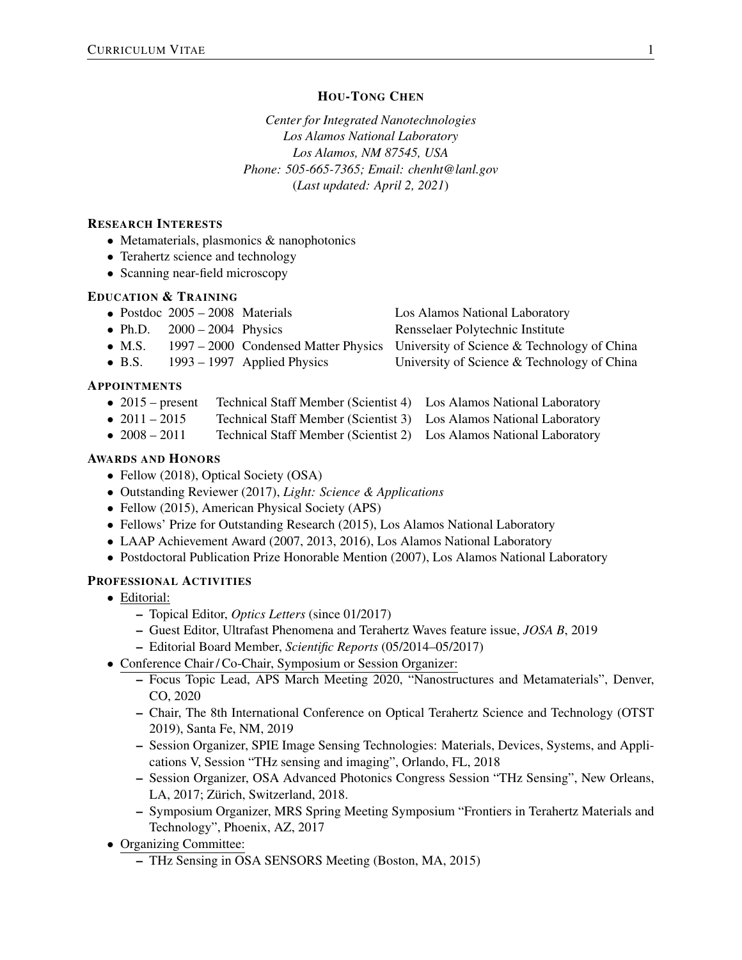# HOU-TONG CHEN

*Center for Integrated Nanotechnologies Los Alamos National Laboratory Los Alamos, NM 87545, USA Phone: 505-665-7365; Email: chenht@lanl.gov* (*Last updated: April 2, 2021*)

# RESEARCH INTERESTS

- *•* Metamaterials, plasmonics & nanophotonics
- Terahertz science and technology
- *•* Scanning near-field microscopy

# EDUCATION & TRAINING

|                | • Postdoc $2005 - 2008$ Materials |                               | Los Alamos National Laboratory                                                   |
|----------------|-----------------------------------|-------------------------------|----------------------------------------------------------------------------------|
|                | • Ph.D. $2000 - 2004$ Physics     |                               | Rensselaer Polytechnic Institute                                                 |
| $\bullet$ M.S. |                                   |                               | 1997 – 2000 Condensed Matter Physics University of Science & Technology of China |
| $\bullet$ B.S. |                                   | $1993 - 1997$ Applied Physics | University of Science & Technology of China                                      |
|                |                                   |                               |                                                                                  |

# APPOINTMENTS

- 2015 present Technical Staff Member (Scientist 4) Los Alamos National Laboratory<br>• 2011 2015 Technical Staff Member (Scientist 3) Los Alamos National Laboratory
- 2011 2015 Technical Staff Member (Scientist 3) Los Alamos National Laboratory<br>● 2008 2011 Technical Staff Member (Scientist 2) Los Alamos National Laboratory
- **Fechnical Staff Member (Scientist 2)** Los Alamos National Laboratory

## AWARDS AND HONORS

- Fellow (2018), Optical Society (OSA)
- *•* Outstanding Reviewer (2017), *Light: Science & Applications*
- *•* Fellow (2015), American Physical Society (APS)
- *•* Fellows' Prize for Outstanding Research (2015), Los Alamos National Laboratory
- *•* LAAP Achievement Award (2007, 2013, 2016), Los Alamos National Laboratory
- Postdoctoral Publication Prize Honorable Mention (2007), Los Alamos National Laboratory

# PROFESSIONAL ACTIVITIES

- *•* Editorial:
	- Topical Editor, *Optics Letters* (since 01/2017)
	- Guest Editor, Ultrafast Phenomena and Terahertz Waves feature issue, *JOSA B*, 2019
	- Editorial Board Member, *Scientific Reports* (05/2014–05/2017)
- *•* Conference Chair / Co-Chair, Symposium or Session Organizer:
	- Focus Topic Lead, APS March Meeting 2020, "Nanostructures and Metamaterials", Denver, CO, 2020
	- Chair, The 8th International Conference on Optical Terahertz Science and Technology (OTST 2019), Santa Fe, NM, 2019
	- Session Organizer, SPIE Image Sensing Technologies: Materials, Devices, Systems, and Applications V, Session "THz sensing and imaging", Orlando, FL, 2018
	- Session Organizer, OSA Advanced Photonics Congress Session "THz Sensing", New Orleans, LA, 2017; Zürich, Switzerland, 2018.
	- Symposium Organizer, MRS Spring Meeting Symposium "Frontiers in Terahertz Materials and Technology", Phoenix, AZ, 2017
- Organizing Committee:
	- THz Sensing in OSA SENSORS Meeting (Boston, MA, 2015)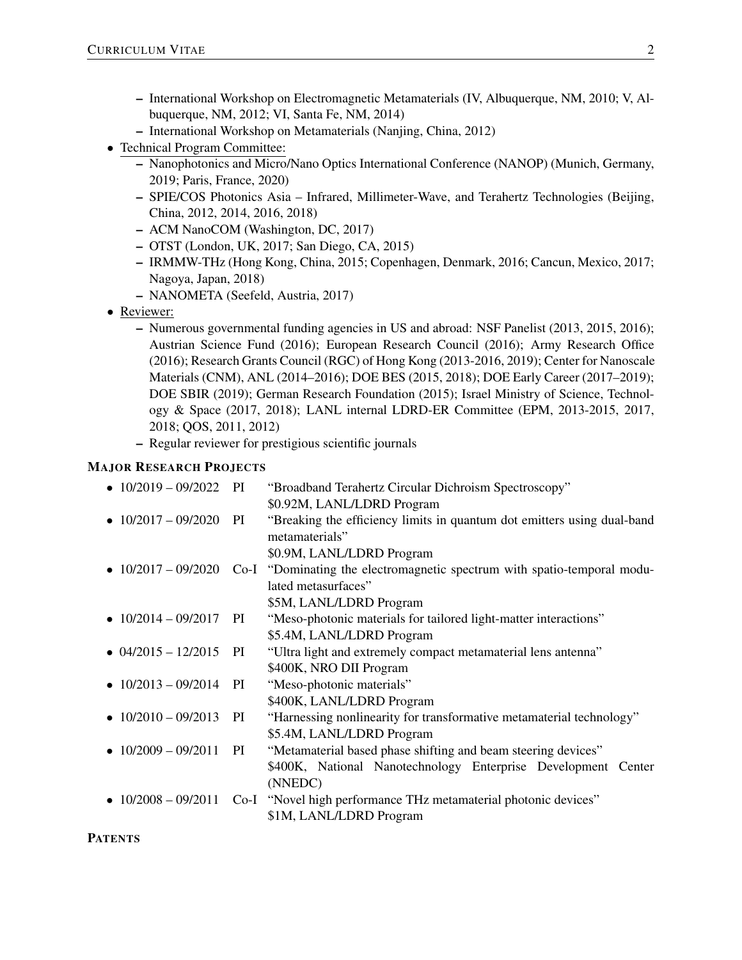- International Workshop on Electromagnetic Metamaterials (IV, Albuquerque, NM, 2010; V, Albuquerque, NM, 2012; VI, Santa Fe, NM, 2014)
- International Workshop on Metamaterials (Nanjing, China, 2012)
- *•* Technical Program Committee:
	- Nanophotonics and Micro/Nano Optics International Conference (NANOP) (Munich, Germany, 2019; Paris, France, 2020)
	- SPIE/COS Photonics Asia Infrared, Millimeter-Wave, and Terahertz Technologies (Beijing, China, 2012, 2014, 2016, 2018)
	- ACM NanoCOM (Washington, DC, 2017)
	- OTST (London, UK, 2017; San Diego, CA, 2015)
	- IRMMW-THz (Hong Kong, China, 2015; Copenhagen, Denmark, 2016; Cancun, Mexico, 2017; Nagoya, Japan, 2018)
	- NANOMETA (Seefeld, Austria, 2017)
- *•* Reviewer:
	- Numerous governmental funding agencies in US and abroad: NSF Panelist (2013, 2015, 2016); Austrian Science Fund (2016); European Research Council (2016); Army Research Office (2016); Research Grants Council (RGC) of Hong Kong (2013-2016, 2019); Center for Nanoscale Materials (CNM), ANL (2014–2016); DOE BES (2015, 2018); DOE Early Career (2017–2019); DOE SBIR (2019); German Research Foundation (2015); Israel Ministry of Science, Technology & Space (2017, 2018); LANL internal LDRD-ER Committee (EPM, 2013-2015, 2017, 2018; QOS, 2011, 2012)
	- Regular reviewer for prestigious scientific journals

## MAJOR RESEARCH PROJECTS

| $\bullet$ 10/2019 - 09/2022 | PI | "Broadband Terahertz Circular Dichroism Spectroscopy"                    |
|-----------------------------|----|--------------------------------------------------------------------------|
|                             |    | \$0.92M, LANL/LDRD Program                                               |
| $\bullet$ 10/2017 - 09/2020 | PI | "Breaking the efficiency limits in quantum dot emitters using dual-band  |
|                             |    | metamaterials"                                                           |
|                             |    | \$0.9M, LANL/LDRD Program                                                |
| • $10/2017 - 09/2020$       |    | Co-I "Dominating the electromagnetic spectrum with spatio-temporal modu- |
|                             |    | lated metasurfaces"                                                      |
|                             |    | \$5M, LANL/LDRD Program                                                  |
| • $10/2014 - 09/2017$       | PI | "Meso-photonic materials for tailored light-matter interactions"         |
|                             |    | \$5.4M, LANL/LDRD Program                                                |
| $\bullet$ 04/2015 - 12/2015 | PI | "Ultra light and extremely compact metamaterial lens antenna"            |
|                             |    | \$400K, NRO DII Program                                                  |
| • $10/2013 - 09/2014$       | PI | "Meso-photonic materials"                                                |
|                             |    | \$400K, LANL/LDRD Program                                                |
| $\bullet$ 10/2010 - 09/2013 | PI | "Harnessing nonlinearity for transformative metamaterial technology"     |
|                             |    | \$5.4M, LANL/LDRD Program                                                |
| • $10/2009 - 09/2011$       | PI | "Metamaterial based phase shifting and beam steering devices"            |
|                             |    | \$400K, National Nanotechnology Enterprise Development Center            |
|                             |    | (NNEDC)                                                                  |
| • $10/2008 - 09/2011$       |    | Co-I "Novel high performance THz metamaterial photonic devices"          |
|                             |    | \$1M, LANL/LDRD Program                                                  |

**PATENTS**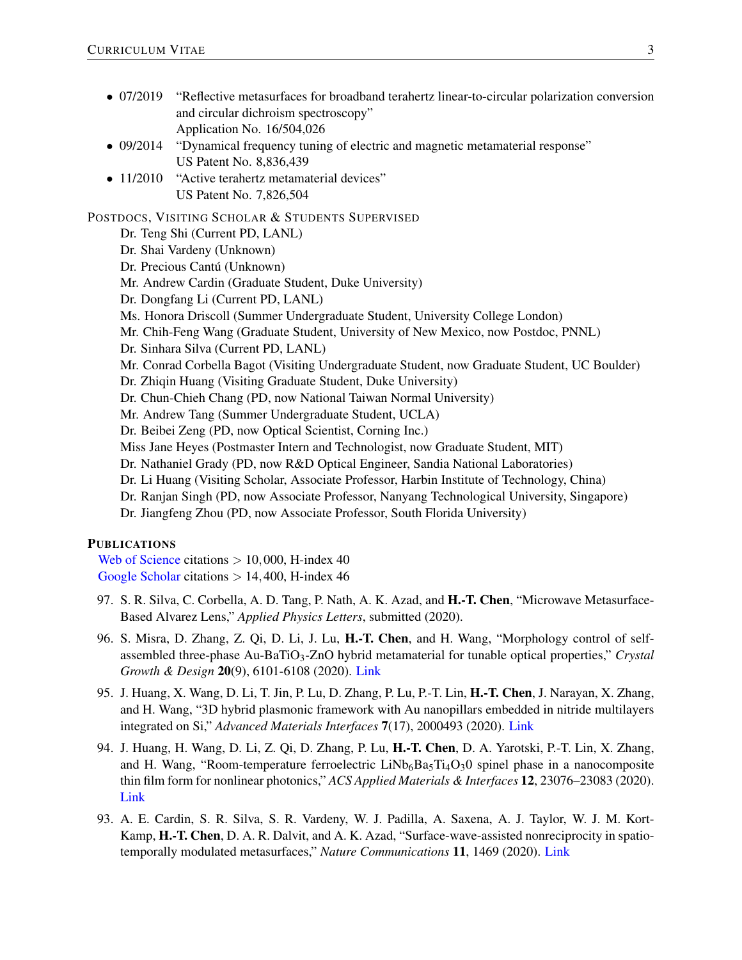- 07/2019 "Reflective metasurfaces for broadband terahertz linear-to-circular polarization conversion and circular dichroism spectroscopy" Application No. 16/504,026
- 09/2014 "Dynamical frequency tuning of electric and magnetic metamaterial response" US Patent No. 8,836,439
- 11/2010 "Active terahertz metamaterial devices" US Patent No. 7,826,504

#### POSTDOCS, VISITING SCHOLAR & STUDENTS SUPERVISED

- Dr. Teng Shi (Current PD, LANL)
- Dr. Shai Vardeny (Unknown)
- Dr. Precious Cantú (Unknown)
- Mr. Andrew Cardin (Graduate Student, Duke University)
- Dr. Dongfang Li (Current PD, LANL)
- Ms. Honora Driscoll (Summer Undergraduate Student, University College London)
- Mr. Chih-Feng Wang (Graduate Student, University of New Mexico, now Postdoc, PNNL)
- Dr. Sinhara Silva (Current PD, LANL)
- Mr. Conrad Corbella Bagot (Visiting Undergraduate Student, now Graduate Student, UC Boulder)
- Dr. Zhiqin Huang (Visiting Graduate Student, Duke University)
- Dr. Chun-Chieh Chang (PD, now National Taiwan Normal University)
- Mr. Andrew Tang (Summer Undergraduate Student, UCLA)
- Dr. Beibei Zeng (PD, now Optical Scientist, Corning Inc.)
- Miss Jane Heyes (Postmaster Intern and Technologist, now Graduate Student, MIT)
- Dr. Nathaniel Grady (PD, now R&D Optical Engineer, Sandia National Laboratories)
- Dr. Li Huang (Visiting Scholar, Associate Professor, Harbin Institute of Technology, China)
- Dr. Ranjan Singh (PD, now Associate Professor, Nanyang Technological University, Singapore)
- Dr. Jiangfeng Zhou (PD, now Associate Professor, South Florida University)

## PUBLICATIONS

[Web of Science](https://publons.com/researcher/2858733/hou-tong-chen/) citations *>* 10*,*000, H-index 40 [Google Scholar](https://scholar.google.com/citations?user=0qYHI5oAAAAJ&hl=en) citations *>* 14*,*400, H-index 46

- 97. S. R. Silva, C. Corbella, A. D. Tang, P. Nath, A. K. Azad, and H.-T. Chen, "Microwave Metasurface-Based Alvarez Lens," *Applied Physics Letters*, submitted (2020).
- 96. S. Misra, D. Zhang, Z. Qi, D. Li, J. Lu, H.-T. Chen, and H. Wang, "Morphology control of selfassembled three-phase Au-BaTiO<sub>3</sub>-ZnO hybrid metamaterial for tunable optical properties," *Crystal Growth & Design* 20(9), 6101-6108 (2020). [Link](https://dx.doi.org/10.1021/acs.cgd.0c00801)
- 95. J. Huang, X. Wang, D. Li, T. Jin, P. Lu, D. Zhang, P. Lu, P.-T. Lin, H.-T. Chen, J. Narayan, X. Zhang, and H. Wang, "3D hybrid plasmonic framework with Au nanopillars embedded in nitride multilayers integrated on Si," *Advanced Materials Interfaces* 7(17), 2000493 (2020). [Link](https://doi.org/10.1002/admi.202000493)
- 94. J. Huang, H. Wang, D. Li, Z. Qi, D. Zhang, P. Lu, H.-T. Chen, D. A. Yarotski, P.-T. Lin, X. Zhang, and H. Wang, "Room-temperature ferroelectric  $LiNb<sub>6</sub>Ba<sub>5</sub>Ti<sub>4</sub>O<sub>3</sub>O$  spinel phase in a nanocomposite thin film form for nonlinear photonics," *ACS Applied Materials & Interfaces* 12, 23076–23083 (2020). [Link](https://dx.doi.org/10.1021/acsami.0c03487)
- 93. A. E. Cardin, S. R. Silva, S. R. Vardeny, W. J. Padilla, A. Saxena, A. J. Taylor, W. J. M. Kort-Kamp, H.-T. Chen, D. A. R. Dalvit, and A. K. Azad, "Surface-wave-assisted nonreciprocity in spatiotemporally modulated metasurfaces," *Nature Communications* 11, 1469 (2020). [Link](https://doi.org/10.1038/s41467-020-15273-1)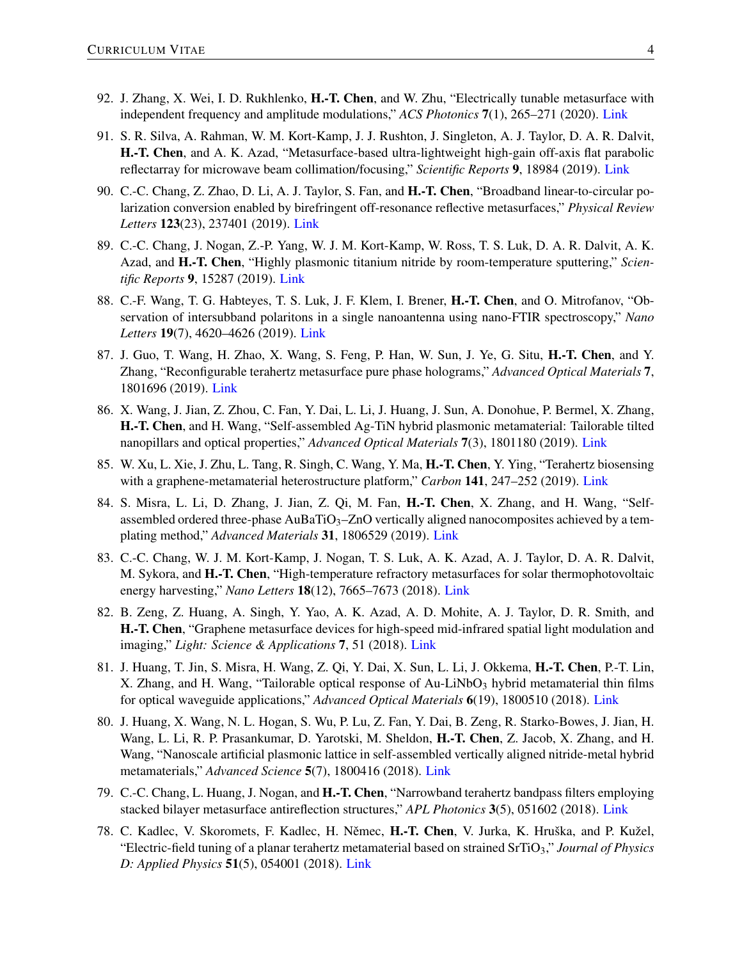- 92. J. Zhang, X. Wei, I. D. Rukhlenko, H.-T. Chen, and W. Zhu, "Electrically tunable metasurface with independent frequency and amplitude modulations," *ACS Photonics* 7(1), 265–271 (2020). [Link](https://doi.org/10.1021/acsphotonics.9b01532)
- 91. S. R. Silva, A. Rahman, W. M. Kort-Kamp, J. J. Rushton, J. Singleton, A. J. Taylor, D. A. R. Dalvit, H.-T. Chen, and A. K. Azad, "Metasurface-based ultra-lightweight high-gain off-axis flat parabolic reflectarray for microwave beam collimation/focusing," *Scientific Reports* 9, 18984 (2019). [Link](https://doi.org/10.1038/s41598-019-55221-8)
- 90. C.-C. Chang, Z. Zhao, D. Li, A. J. Taylor, S. Fan, and H.-T. Chen, "Broadband linear-to-circular polarization conversion enabled by birefringent off-resonance reflective metasurfaces," *Physical Review Letters* 123(23), 237401 (2019). [Link](https://doi.org/10.1103/PhysRevLett.123.237401)
- 89. C.-C. Chang, J. Nogan, Z.-P. Yang, W. J. M. Kort-Kamp, W. Ross, T. S. Luk, D. A. R. Dalvit, A. K. Azad, and H.-T. Chen, "Highly plasmonic titanium nitride by room-temperature sputtering," *Scientific Reports* 9, 15287 (2019). [Link](https://doi.org/10.1038/s41598-019-51236-3)
- 88. C.-F. Wang, T. G. Habteyes, T. S. Luk, J. F. Klem, I. Brener, H.-T. Chen, and O. Mitrofanov, "Observation of intersubband polaritons in a single nanoantenna using nano-FTIR spectroscopy," *Nano Letters* 19(7), 4620–4626 (2019). [Link](https://doi.org/10.1021/acs.nanolett.9b01623)
- 87. J. Guo, T. Wang, H. Zhao, X. Wang, S. Feng, P. Han, W. Sun, J. Ye, G. Situ, H.-T. Chen, and Y. Zhang, "Reconfigurable terahertz metasurface pure phase holograms," *Advanced Optical Materials* 7, 1801696 (2019). [Link](https://doi.org/10.1002/adom.201801696)
- 86. X. Wang, J. Jian, Z. Zhou, C. Fan, Y. Dai, L. Li, J. Huang, J. Sun, A. Donohue, P. Bermel, X. Zhang, H.-T. Chen, and H. Wang, "Self-assembled Ag-TiN hybrid plasmonic metamaterial: Tailorable tilted nanopillars and optical properties," *Advanced Optical Materials* 7(3), 1801180 (2019). [Link](https://doi.org/10.1002/adom.201801180)
- 85. W. Xu, L. Xie, J. Zhu, L. Tang, R. Singh, C. Wang, Y. Ma, H.-T. Chen, Y. Ying, "Terahertz biosensing with a graphene-metamaterial heterostructure platform," *Carbon* 141, 247–252 (2019). [Link](https://doi.org/10.1016/j.carbon.2018.09.050)
- 84. S. Misra, L. Li, D. Zhang, J. Jian, Z. Qi, M. Fan, H.-T. Chen, X. Zhang, and H. Wang, "Selfassembled ordered three-phase AuBaTiO<sub>3</sub>-ZnO vertically aligned nanocomposites achieved by a templating method," *Advanced Materials* 31, 1806529 (2019). [Link](https://doi.org/10.1002/adma.201806529)
- 83. C.-C. Chang, W. J. M. Kort-Kamp, J. Nogan, T. S. Luk, A. K. Azad, A. J. Taylor, D. A. R. Dalvit, M. Sykora, and H.-T. Chen, "High-temperature refractory metasurfaces for solar thermophotovoltaic energy harvesting," *Nano Letters* 18(12), 7665–7673 (2018). [Link](https://doi.org/10.1021/acs.nanolett.8b03322)
- 82. B. Zeng, Z. Huang, A. Singh, Y. Yao, A. K. Azad, A. D. Mohite, A. J. Taylor, D. R. Smith, and H.-T. Chen, "Graphene metasurface devices for high-speed mid-infrared spatial light modulation and imaging," *Light: Science & Applications* 7, 51 (2018). [Link](https://doi.org/10.1038/s41377-018-0055-4)
- 81. J. Huang, T. Jin, S. Misra, H. Wang, Z. Qi, Y. Dai, X. Sun, L. Li, J. Okkema, H.-T. Chen, P.-T. Lin, X. Zhang, and H. Wang, "Tailorable optical response of  $Au-LiNbO<sub>3</sub>$  hybrid metamaterial thin films for optical waveguide applications," *Advanced Optical Materials* 6(19), 1800510 (2018). [Link](https://doi.org/10.1002/adom.201800510)
- 80. J. Huang, X. Wang, N. L. Hogan, S. Wu, P. Lu, Z. Fan, Y. Dai, B. Zeng, R. Starko-Bowes, J. Jian, H. Wang, L. Li, R. P. Prasankumar, D. Yarotski, M. Sheldon, H.-T. Chen, Z. Jacob, X. Zhang, and H. Wang, "Nanoscale artificial plasmonic lattice in self-assembled vertically aligned nitride-metal hybrid metamaterials," *Advanced Science* 5(7), 1800416 (2018). [Link](https://doi.org/10.1002/advs.201800416)
- 79. C.-C. Chang, L. Huang, J. Nogan, and H.-T. Chen, "Narrowband terahertz bandpass filters employing stacked bilayer metasurface antireflection structures," *APL Photonics* 3(5), 051602 (2018). [Link](https://doi.org/10.1063/1.5003984)
- 78. C. Kadlec, V. Skoromets, F. Kadlec, H. Němec, H.-T. Chen, V. Jurka, K. Hruška, and P. Kužel, "Electric-field tuning of a planar terahertz metamaterial based on strained SrTiO3," *Journal of Physics D: Applied Physics* 51(5), 054001 (2018). [Link](https://doi.org/10.1088/1361-6463/aaa315)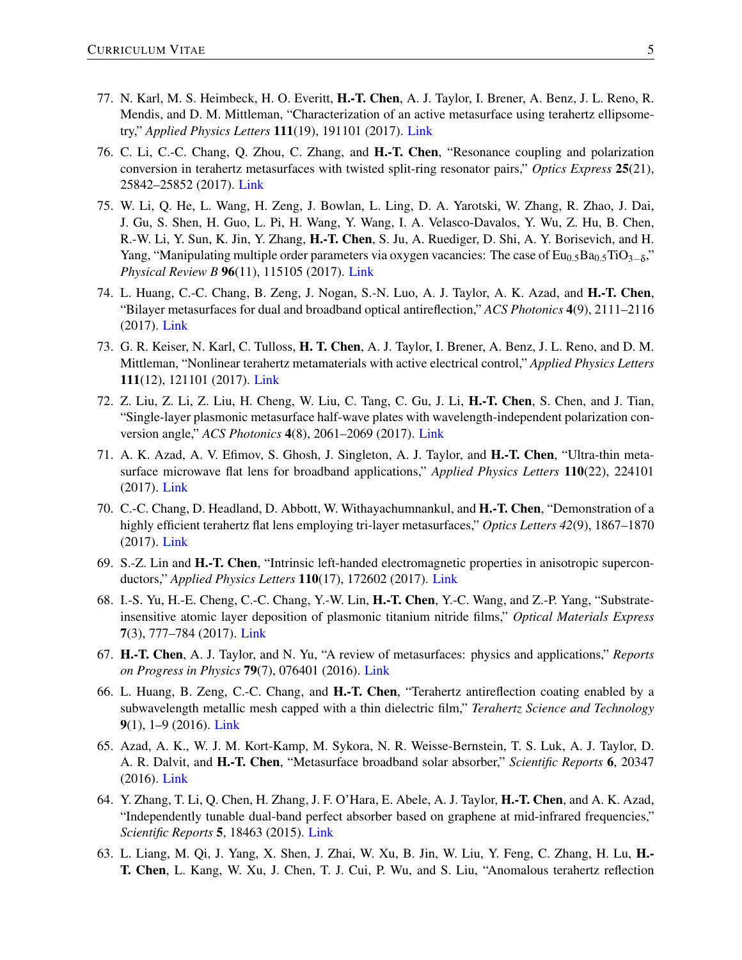- 77. N. Karl, M. S. Heimbeck, H. O. Everitt, H.-T. Chen, A. J. Taylor, I. Brener, A. Benz, J. L. Reno, R. Mendis, and D. M. Mittleman, "Characterization of an active metasurface using terahertz ellipsometry," *Applied Physics Letters* 111(19), 191101 (2017). [Link](https://doi.org/10.1063/1.5004194)
- 76. C. Li, C.-C. Chang, Q. Zhou, C. Zhang, and H.-T. Chen, "Resonance coupling and polarization conversion in terahertz metasurfaces with twisted split-ring resonator pairs," *Optics Express* 25(21), 25842–25852 (2017). [Link](https://doi.org/10.1364/OE.25.025842)
- 75. W. Li, Q. He, L. Wang, H. Zeng, J. Bowlan, L. Ling, D. A. Yarotski, W. Zhang, R. Zhao, J. Dai, J. Gu, S. Shen, H. Guo, L. Pi, H. Wang, Y. Wang, I. A. Velasco-Davalos, Y. Wu, Z. Hu, B. Chen, R.-W. Li, Y. Sun, K. Jin, Y. Zhang, H.-T. Chen, S. Ju, A. Ruediger, D. Shi, A. Y. Borisevich, and H. Yang, "Manipulating multiple order parameters via oxygen vacancies: The case of Eu<sub>0.5</sub>Ba<sub>0.5</sub>TiO<sub>3−δ</sub>," *Physical Review B* 96(11), 115105 (2017). [Link](https://doi.org/10.1103/PhysRevB.96.115105)
- 74. L. Huang, C.-C. Chang, B. Zeng, J. Nogan, S.-N. Luo, A. J. Taylor, A. K. Azad, and H.-T. Chen, "Bilayer metasurfaces for dual and broadband optical antireflection," *ACS Photonics* 4(9), 2111–2116 (2017). [Link](https://doi.org/10.1021/acsphotonics.7b00471)
- 73. G. R. Keiser, N. Karl, C. Tulloss, H. T. Chen, A. J. Taylor, I. Brener, A. Benz, J. L. Reno, and D. M. Mittleman, "Nonlinear terahertz metamaterials with active electrical control," *Applied Physics Letters* 111(12), 121101 (2017). [Link](https://doi.org/10.1063/1.4990671)
- 72. Z. Liu, Z. Li, Z. Liu, H. Cheng, W. Liu, C. Tang, C. Gu, J. Li, H.-T. Chen, S. Chen, and J. Tian, "Single-layer plasmonic metasurface half-wave plates with wavelength-independent polarization conversion angle," *ACS Photonics* 4(8), 2061–2069 (2017). [Link](https://doi.org/10.1021/acsphotonics.7b00491)
- 71. A. K. Azad, A. V. Efimov, S. Ghosh, J. Singleton, A. J. Taylor, and H.-T. Chen, "Ultra-thin metasurface microwave flat lens for broadband applications," *Applied Physics Letters* 110(22), 224101 (2017). [Link](https://doi.org/10.1063/1.4984219)
- 70. C.-C. Chang, D. Headland, D. Abbott, W. Withayachumnankul, and H.-T. Chen, "Demonstration of a highly efficient terahertz flat lens employing tri-layer metasurfaces," *Optics Letters 42*(9), 1867–1870 (2017). [Link](https://doi.org/10.1364/OL.42.001867)
- 69. S.-Z. Lin and H.-T. Chen, "Intrinsic left-handed electromagnetic properties in anisotropic superconductors," *Applied Physics Letters* 110(17), 172602 (2017). [Link](https://doi.org/10.1063/1.4982877)
- 68. I.-S. Yu, H.-E. Cheng, C.-C. Chang, Y.-W. Lin, H.-T. Chen, Y.-C. Wang, and Z.-P. Yang, "Substrateinsensitive atomic layer deposition of plasmonic titanium nitride films," *Optical Materials Express* 7(3), 777–784 (2017). [Link](https://doi.org/10.1364/OME.7.000777)
- 67. H.-T. Chen, A. J. Taylor, and N. Yu, "A review of metasurfaces: physics and applications," *Reports on Progress in Physics* 79(7), 076401 (2016). [Link](https://doi.org/10.1088/0034-4885/79/7/076401)
- 66. L. Huang, B. Zeng, C.-C. Chang, and H.-T. Chen, "Terahertz antireflection coating enabled by a subwavelength metallic mesh capped with a thin dielectric film," *Terahertz Science and Technology* 9(1), 1–9 (2016). [Link](https://doi.org/10.11906/TST.001-009.2016.03.01)
- 65. Azad, A. K., W. J. M. Kort-Kamp, M. Sykora, N. R. Weisse-Bernstein, T. S. Luk, A. J. Taylor, D. A. R. Dalvit, and H.-T. Chen, "Metasurface broadband solar absorber," *Scientific Reports* 6, 20347 (2016). [Link](https://doi.org/10.1038/srep20347)
- 64. Y. Zhang, T. Li, Q. Chen, H. Zhang, J. F. O'Hara, E. Abele, A. J. Taylor, H.-T. Chen, and A. K. Azad, "Independently tunable dual-band perfect absorber based on graphene at mid-infrared frequencies," *Scientific Reports* 5, 18463 (2015). [Link](https://doi.org/10.1038/srep18463)
- 63. L. Liang, M. Qi, J. Yang, X. Shen, J. Zhai, W. Xu, B. Jin, W. Liu, Y. Feng, C. Zhang, H. Lu, H.- T. Chen, L. Kang, W. Xu, J. Chen, T. J. Cui, P. Wu, and S. Liu, "Anomalous terahertz reflection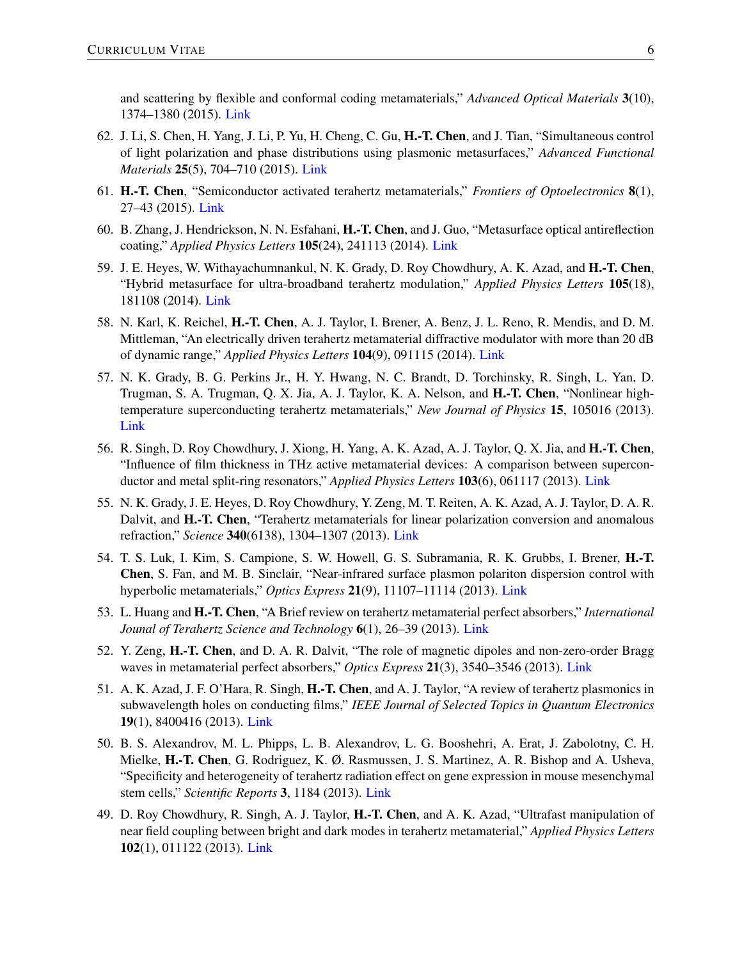and scattering by flexible and conformal coding metamaterials," *Advanced Optical Materials* 3(10), 1374–1380 (2015). [Link](https://doi.org/10.1002/adom.201500206)

- 62. J. Li, S. Chen, H. Yang, J. Li, P. Yu, H. Cheng, C. Gu, H.-T. Chen, and J. Tian, "Simultaneous control of light polarization and phase distributions using plasmonic metasurfaces," *Advanced Functional Materials* 25(5), 704–710 (2015). [Link](https://doi.org/10.1002/adfm.201403669)
- 61. H.-T. Chen, "Semiconductor activated terahertz metamaterials," *Frontiers of Optoelectronics* 8(1), 27–43 (2015). [Link](https://doi.org/10.1007/s12200-014-0436-0)
- 60. B. Zhang, J. Hendrickson, N. N. Esfahani, H.-T. Chen, and J. Guo, "Metasurface optical antireflection coating," *Applied Physics Letters* 105(24), 241113 (2014). [Link](https://doi.org/10.1063/1.4904827)
- 59. J. E. Heyes, W. Withayachumnankul, N. K. Grady, D. Roy Chowdhury, A. K. Azad, and H.-T. Chen, "Hybrid metasurface for ultra-broadband terahertz modulation," *Applied Physics Letters* 105(18), 181108 (2014). [Link](https://doi.org/10.1063/1.4901050)
- 58. N. Karl, K. Reichel, H.-T. Chen, A. J. Taylor, I. Brener, A. Benz, J. L. Reno, R. Mendis, and D. M. Mittleman, "An electrically driven terahertz metamaterial diffractive modulator with more than 20 dB of dynamic range," *Applied Physics Letters* 104(9), 091115 (2014). [Link](https://doi.org/10.1063/1.4867276)
- 57. N. K. Grady, B. G. Perkins Jr., H. Y. Hwang, N. C. Brandt, D. Torchinsky, R. Singh, L. Yan, D. Trugman, S. A. Trugman, Q. X. Jia, A. J. Taylor, K. A. Nelson, and H.-T. Chen, "Nonlinear hightemperature superconducting terahertz metamaterials," *New Journal of Physics* 15, 105016 (2013). [Link](https://doi.org/10.1088/1367-2630/15/10/105016)
- 56. R. Singh, D. Roy Chowdhury, J. Xiong, H. Yang, A. K. Azad, A. J. Taylor, Q. X. Jia, and H.-T. Chen, "Influence of film thickness in THz active metamaterial devices: A comparison between superconductor and metal split-ring resonators," *Applied Physics Letters* 103(6), 061117 (2013). [Link](https://doi.org/10.1063/1.4817814)
- 55. N. K. Grady, J. E. Heyes, D. Roy Chowdhury, Y. Zeng, M. T. Reiten, A. K. Azad, A. J. Taylor, D. A. R. Dalvit, and H.-T. Chen, "Terahertz metamaterials for linear polarization conversion and anomalous refraction," *Science* 340(6138), 1304–1307 (2013). [Link](https://doi.org/10.1126/science.1235399)
- 54. T. S. Luk, I. Kim, S. Campione, S. W. Howell, G. S. Subramania, R. K. Grubbs, I. Brener, H.-T. Chen, S. Fan, and M. B. Sinclair, "Near-infrared surface plasmon polariton dispersion control with hyperbolic metamaterials," *Optics Express* 21(9), 11107–11114 (2013). [Link](https://doi.org/10.1364/OE.21.011107)
- 53. L. Huang and H.-T. Chen, "A Brief review on terahertz metamaterial perfect absorbers," *International Jounal of Terahertz Science and Technology* 6(1), 26–39 (2013). [Link](https://doi.org/10.11906/TST.026-039.2013.03.02)
- 52. Y. Zeng, H.-T. Chen, and D. A. R. Dalvit, "The role of magnetic dipoles and non-zero-order Bragg waves in metamaterial perfect absorbers," *Optics Express* 21(3), 3540–3546 (2013). [Link](https://doi.org/10.1364/OE.21.003540)
- 51. A. K. Azad, J. F. O'Hara, R. Singh, H.-T. Chen, and A. J. Taylor, "A review of terahertz plasmonics in subwavelength holes on conducting films," *IEEE Journal of Selected Topics in Quantum Electronics* 19(1), 8400416 (2013). [Link](https://doi.org/10.1109/JSTQE.2012.2208181)
- 50. B. S. Alexandrov, M. L. Phipps, L. B. Alexandrov, L. G. Booshehri, A. Erat, J. Zabolotny, C. H. Mielke, H.-T. Chen, G. Rodriguez, K. Ø. Rasmussen, J. S. Martinez, A. R. Bishop and A. Usheva, "Specificity and heterogeneity of terahertz radiation effect on gene expression in mouse mesenchymal stem cells," *Scientific Reports* 3, 1184 (2013). [Link](https://doi.org/10.1038/srep01184)
- 49. D. Roy Chowdhury, R. Singh, A. J. Taylor, H.-T. Chen, and A. K. Azad, "Ultrafast manipulation of near field coupling between bright and dark modes in terahertz metamaterial," *Applied Physics Letters* 102(1), 011122 (2013). [Link](https://doi.org/10.1063/1.4774003)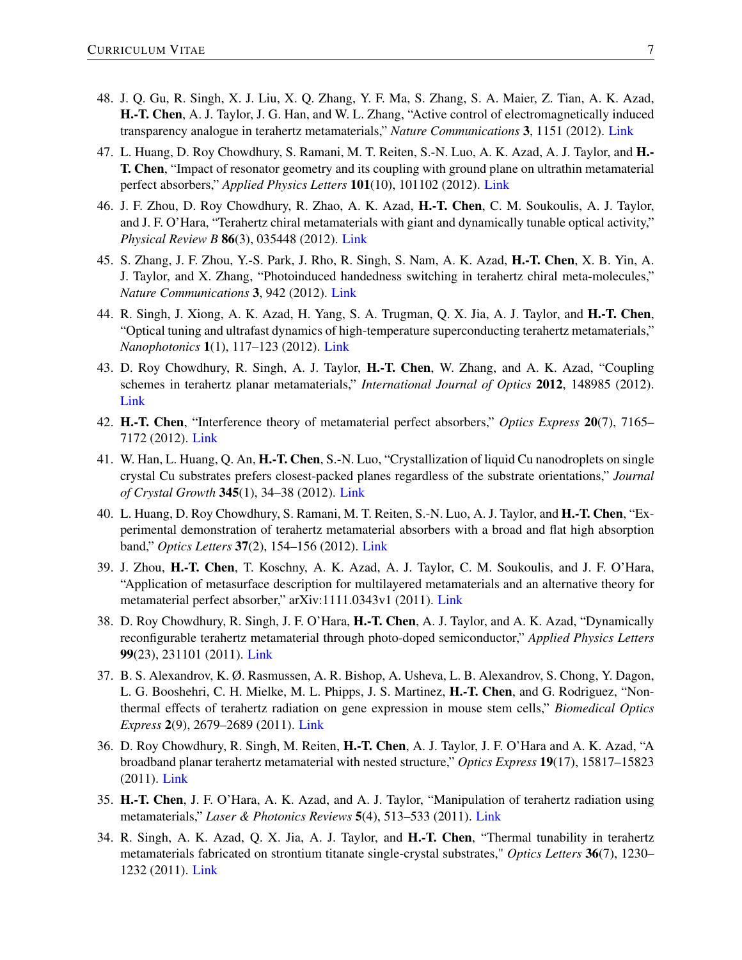- 48. J. Q. Gu, R. Singh, X. J. Liu, X. Q. Zhang, Y. F. Ma, S. Zhang, S. A. Maier, Z. Tian, A. K. Azad, H.-T. Chen, A. J. Taylor, J. G. Han, and W. L. Zhang, "Active control of electromagnetically induced transparency analogue in terahertz metamaterials," *Nature Communications* 3, 1151 (2012). [Link](https://doi.org/10.1038/ncomms2153)
- 47. L. Huang, D. Roy Chowdhury, S. Ramani, M. T. Reiten, S.-N. Luo, A. K. Azad, A. J. Taylor, and H.- T. Chen, "Impact of resonator geometry and its coupling with ground plane on ultrathin metamaterial perfect absorbers," *Applied Physics Letters* 101(10), 101102 (2012). [Link](https://doi.org/10.1063/1.4749823)
- 46. J. F. Zhou, D. Roy Chowdhury, R. Zhao, A. K. Azad, H.-T. Chen, C. M. Soukoulis, A. J. Taylor, and J. F. O'Hara, "Terahertz chiral metamaterials with giant and dynamically tunable optical activity," *Physical Review B* 86(3), 035448 (2012). [Link](https://doi.org/10.1103/PhysRevB.86.035448)
- 45. S. Zhang, J. F. Zhou, Y.-S. Park, J. Rho, R. Singh, S. Nam, A. K. Azad, H.-T. Chen, X. B. Yin, A. J. Taylor, and X. Zhang, "Photoinduced handedness switching in terahertz chiral meta-molecules," *Nature Communications* 3, 942 (2012). [Link](https://doi.org/10.1038/ncomms1908)
- 44. R. Singh, J. Xiong, A. K. Azad, H. Yang, S. A. Trugman, Q. X. Jia, A. J. Taylor, and H.-T. Chen, "Optical tuning and ultrafast dynamics of high-temperature superconducting terahertz metamaterials," *Nanophotonics* 1(1), 117–123 (2012). [Link](https://doi.org/10.1515/nanoph-2012-0007)
- 43. D. Roy Chowdhury, R. Singh, A. J. Taylor, H.-T. Chen, W. Zhang, and A. K. Azad, "Coupling schemes in terahertz planar metamaterials," *International Journal of Optics* 2012, 148985 (2012). [Link](http://dx.doi.org/10.1155/2012/148985)
- 42. H.-T. Chen, "Interference theory of metamaterial perfect absorbers," *Optics Express* 20(7), 7165– 7172 (2012). [Link](https://doi.org/10.1364/OE.20.007165)
- 41. W. Han, L. Huang, Q. An, H.-T. Chen, S.-N. Luo, "Crystallization of liquid Cu nanodroplets on single crystal Cu substrates prefers closest-packed planes regardless of the substrate orientations," *Journal of Crystal Growth* 345(1), 34–38 (2012). [Link](https://doi.org/10.1016/j.jcrysgro.2012.02.018)
- 40. L. Huang, D. Roy Chowdhury, S. Ramani, M. T. Reiten, S.-N. Luo, A. J. Taylor, and H.-T. Chen, "Experimental demonstration of terahertz metamaterial absorbers with a broad and flat high absorption band," *Optics Letters* 37(2), 154–156 (2012). [Link](https://doi.org/10.1364/OL.37.000154)
- 39. J. Zhou, H.-T. Chen, T. Koschny, A. K. Azad, A. J. Taylor, C. M. Soukoulis, and J. F. O'Hara, "Application of metasurface description for multilayered metamaterials and an alternative theory for metamaterial perfect absorber," arXiv:1111.0343v1 (2011). [Link](https://arxiv.org/abs/1111.0343)
- 38. D. Roy Chowdhury, R. Singh, J. F. O'Hara, H.-T. Chen, A. J. Taylor, and A. K. Azad, "Dynamically reconfigurable terahertz metamaterial through photo-doped semiconductor," *Applied Physics Letters* 99(23), 231101 (2011). [Link](https://doi.org/10.1063/1.3667197)
- 37. B. S. Alexandrov, K. Ø. Rasmussen, A. R. Bishop, A. Usheva, L. B. Alexandrov, S. Chong, Y. Dagon, L. G. Booshehri, C. H. Mielke, M. L. Phipps, J. S. Martinez, H.-T. Chen, and G. Rodriguez, "Nonthermal effects of terahertz radiation on gene expression in mouse stem cells," *Biomedical Optics Express* 2(9), 2679–2689 (2011). [Link](https://doi.org/10.1364/BOE.2.002679)
- 36. D. Roy Chowdhury, R. Singh, M. Reiten, H.-T. Chen, A. J. Taylor, J. F. O'Hara and A. K. Azad, "A broadband planar terahertz metamaterial with nested structure," *Optics Express* 19(17), 15817–15823 (2011). [Link](https://doi.org/10.1364/OE.19.015817)
- 35. H.-T. Chen, J. F. O'Hara, A. K. Azad, and A. J. Taylor, "Manipulation of terahertz radiation using metamaterials," *Laser & Photonics Reviews* 5(4), 513–533 (2011). [Link](https://doi.org/10.1002/lpor.201000043)
- 34. R. Singh, A. K. Azad, Q. X. Jia, A. J. Taylor, and H.-T. Chen, "Thermal tunability in terahertz metamaterials fabricated on strontium titanate single-crystal substrates," *Optics Letters* 36(7), 1230– 1232 (2011). [Link](https://doi.org/10.1364/OL.36.001230)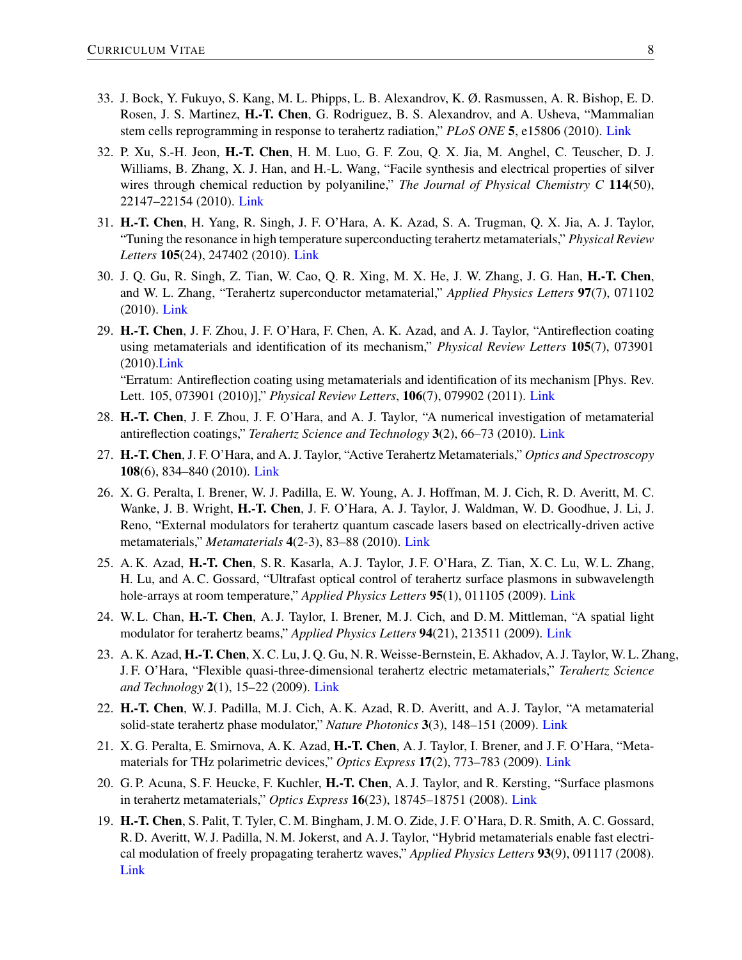- 33. J. Bock, Y. Fukuyo, S. Kang, M. L. Phipps, L. B. Alexandrov, K. Ø. Rasmussen, A. R. Bishop, E. D. Rosen, J. S. Martinez, H.-T. Chen, G. Rodriguez, B. S. Alexandrov, and A. Usheva, "Mammalian stem cells reprogramming in response to terahertz radiation," *PLoS ONE* 5, e15806 (2010). [Link](https://doi.org/10.1371/journal.pone.0015806)
- 32. P. Xu, S.-H. Jeon, H.-T. Chen, H. M. Luo, G. F. Zou, Q. X. Jia, M. Anghel, C. Teuscher, D. J. Williams, B. Zhang, X. J. Han, and H.-L. Wang, "Facile synthesis and electrical properties of silver wires through chemical reduction by polyaniline," *The Journal of Physical Chemistry C* 114(50), 22147–22154 (2010). [Link](https://doi.org/10.1021/jp109207d)
- 31. H.-T. Chen, H. Yang, R. Singh, J. F. O'Hara, A. K. Azad, S. A. Trugman, Q. X. Jia, A. J. Taylor, "Tuning the resonance in high temperature superconducting terahertz metamaterials," *Physical Review Letters* 105(24), 247402 (2010). [Link](https://doi.org/10.1103/PhysRevLett.105.247402)
- 30. J. Q. Gu, R. Singh, Z. Tian, W. Cao, Q. R. Xing, M. X. He, J. W. Zhang, J. G. Han, H.-T. Chen, and W. L. Zhang, "Terahertz superconductor metamaterial," *Applied Physics Letters* 97(7), 071102 (2010). [Link](https://doi.org/10.1063/1.3479909)
- 29. H.-T. Chen, J. F. Zhou, J. F. O'Hara, F. Chen, A. K. Azad, and A. J. Taylor, "Antireflection coating using metamaterials and identification of its mechanism," *Physical Review Letters* 105(7), 073901 (2010)[.Link](https://doi.org/10.1103/PhysRevLett.105.073901) "Erratum: Antireflection coating using metamaterials and identification of its mechanism [Phys. Rev.
	- Lett. 105, 073901 (2010)]," *Physical Review Letters*, 106(7), 079902 (2011). [Link](https://doi.org/10.1103/PhysRevLett.106.079902)
- 28. H.-T. Chen, J. F. Zhou, J. F. O'Hara, and A. J. Taylor, "A numerical investigation of metamaterial antireflection coatings," *Terahertz Science and Technology* 3(2), 66–73 (2010). [Link](https://doi.org/10.11906/TST.066-073.2010.06.06)
- 27. H.-T. Chen, J. F. O'Hara, and A. J. Taylor, "Active Terahertz Metamaterials," *Optics and Spectroscopy* 108(6), 834–840 (2010). [Link](https://doi.org/10.1134/S0030400X10060020)
- 26. X. G. Peralta, I. Brener, W. J. Padilla, E. W. Young, A. J. Hoffman, M. J. Cich, R. D. Averitt, M. C. Wanke, J. B. Wright, H.-T. Chen, J. F. O'Hara, A. J. Taylor, J. Waldman, W. D. Goodhue, J. Li, J. Reno, "External modulators for terahertz quantum cascade lasers based on electrically-driven active metamaterials," *Metamaterials* 4(2-3), 83–88 (2010). [Link](https://doi.org/10.1016/j.metmat.2010.04.005)
- 25. A. K. Azad, H.-T. Chen, S. R. Kasarla, A. J. Taylor, J. F. O'Hara, Z. Tian, X. C. Lu, W. L. Zhang, H. Lu, and A. C. Gossard, "Ultrafast optical control of terahertz surface plasmons in subwavelength hole-arrays at room temperature," *Applied Physics Letters* 95(1), 011105 (2009). [Link](https://doi.org/10.1063/1.3168510)
- 24. W. L. Chan, H.-T. Chen, A. J. Taylor, I. Brener, M. J. Cich, and D. M. Mittleman, "A spatial light modulator for terahertz beams," *Applied Physics Letters* 94(21), 213511 (2009). [Link](https://doi.org/10.1063/1.3147221)
- 23. A. K. Azad, H.-T. Chen, X. C. Lu, J. Q. Gu, N. R. Weisse-Bernstein, E. Akhadov, A. J. Taylor, W. L. Zhang, J. F. O'Hara, "Flexible quasi-three-dimensional terahertz electric metamaterials," *Terahertz Science and Technology* 2(1), 15–22 (2009). [Link](https://doi.org/10.11906/TST.015-022.2009.03.02)
- 22. H.-T. Chen, W. J. Padilla, M. J. Cich, A. K. Azad, R. D. Averitt, and A. J. Taylor, "A metamaterial solid-state terahertz phase modulator," *Nature Photonics* 3(3), 148–151 (2009). [Link](https://doi.org/10.1038/nphoton.2009.3)
- 21. X. G. Peralta, E. Smirnova, A. K. Azad, H.-T. Chen, A. J. Taylor, I. Brener, and J. F. O'Hara, "Metamaterials for THz polarimetric devices," *Optics Express* 17(2), 773–783 (2009). [Link](https://doi.org/10.1364/OE.17.000773)
- 20. G. P. Acuna, S. F. Heucke, F. Kuchler, H.-T. Chen, A. J. Taylor, and R. Kersting, "Surface plasmons" in terahertz metamaterials," *Optics Express* 16(23), 18745–18751 (2008). [Link](https://doi.org/10.1364/OE.16.018745)
- 19. H.-T. Chen, S. Palit, T. Tyler, C. M. Bingham, J. M. O. Zide, J. F. O'Hara, D. R. Smith, A. C. Gossard, R. D. Averitt, W. J. Padilla, N. M. Jokerst, and A. J. Taylor, "Hybrid metamaterials enable fast electrical modulation of freely propagating terahertz waves," *Applied Physics Letters* 93(9), 091117 (2008). [Link](https://doi.org/10.1063/1.2978071)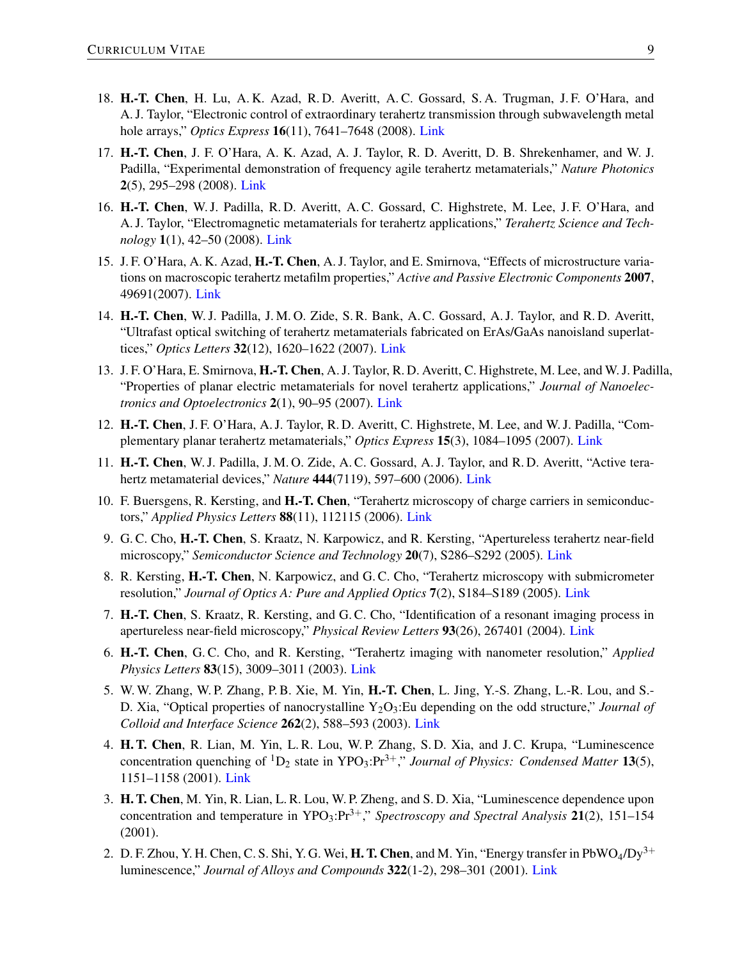- 18. H.-T. Chen, H. Lu, A. K. Azad, R. D. Averitt, A. C. Gossard, S. A. Trugman, J. F. O'Hara, and A. J. Taylor, "Electronic control of extraordinary terahertz transmission through subwavelength metal hole arrays," *Optics Express* 16(11), 7641–7648 (2008). [Link](https://doi.org/10.1364/OE.16.007641)
- 17. H.-T. Chen, J. F. O'Hara, A. K. Azad, A. J. Taylor, R. D. Averitt, D. B. Shrekenhamer, and W. J. Padilla, "Experimental demonstration of frequency agile terahertz metamaterials," *Nature Photonics* 2(5), 295–298 (2008). [Link](https://doi.org/10.1038/nphoton.2008.52)
- 16. H.-T. Chen, W. J. Padilla, R. D. Averitt, A. C. Gossard, C. Highstrete, M. Lee, J. F. O'Hara, and A. J. Taylor, "Electromagnetic metamaterials for terahertz applications," *Terahertz Science and Technology* 1(1), 42–50 (2008). [Link](https://doi.org/10.11906/TST.042-050.2008.03.06)
- 15. J. F. O'Hara, A. K. Azad, H.-T. Chen, A. J. Taylor, and E. Smirnova, "Effects of microstructure variations on macroscopic terahertz metafilm properties," *Active and Passive Electronic Components* 2007, 49691(2007). [Link](http://dx.doi.org/10.1155/2007/49691)
- 14. H.-T. Chen, W. J. Padilla, J. M. O. Zide, S. R. Bank, A. C. Gossard, A. J. Taylor, and R. D. Averitt, "Ultrafast optical switching of terahertz metamaterials fabricated on ErAs/GaAs nanoisland superlattices," *Optics Letters* 32(12), 1620–1622 (2007). [Link](https://doi.org/10.1364/OL.32.001620)
- 13. J. F. O'Hara, E. Smirnova, H.-T. Chen, A. J. Taylor, R. D. Averitt, C. Highstrete, M. Lee, and W. J. Padilla, "Properties of planar electric metamaterials for novel terahertz applications," *Journal of Nanoelectronics and Optoelectronics* 2(1), 90–95 (2007). [Link](https://doi.org/10.1166/jno.2007.008)
- 12. H.-T. Chen, J. F. O'Hara, A. J. Taylor, R. D. Averitt, C. Highstrete, M. Lee, and W. J. Padilla, "Complementary planar terahertz metamaterials," *Optics Express* 15(3), 1084–1095 (2007). [Link](https://doi.org/10.1364/OE.15.001084)
- 11. H.-T. Chen, W. J. Padilla, J. M. O. Zide, A. C. Gossard, A. J. Taylor, and R. D. Averitt, "Active terahertz metamaterial devices," *Nature* 444(7119), 597–600 (2006). [Link](https://doi.org/10.1038/nature05343)
- 10. F. Buersgens, R. Kersting, and H.-T. Chen, "Terahertz microscopy of charge carriers in semiconductors," *Applied Physics Letters* 88(11), 112115 (2006). [Link](https://doi.org/10.1063/1.2186743)
- 9. G. C. Cho, H.-T. Chen, S. Kraatz, N. Karpowicz, and R. Kersting, "Apertureless terahertz near-field microscopy," *Semiconductor Science and Technology* 20(7), S286–S292 (2005). [Link](https://doi.org/10.1088/0268-1242/20/7/020)
- 8. R. Kersting, H.-T. Chen, N. Karpowicz, and G. C. Cho, "Terahertz microscopy with submicrometer resolution," *Journal of Optics A: Pure and Applied Optics* 7(2), S184–S189 (2005). [Link](https://doi.org/10.1088/1464-4258/7/2/024)
- 7. H.-T. Chen, S. Kraatz, R. Kersting, and G. C. Cho, "Identification of a resonant imaging process in apertureless near-field microscopy," *Physical Review Letters* 93(26), 267401 (2004). [Link](https://doi.org/10.1103/PhysRevLett.93.267401)
- 6. H.-T. Chen, G. C. Cho, and R. Kersting, "Terahertz imaging with nanometer resolution," *Applied Physics Letters* 83(15), 3009–3011 (2003). [Link](https://doi.org/10.1063/1.1616668)
- 5. W. W. Zhang, W. P. Zhang, P. B. Xie, M. Yin, H.-T. Chen, L. Jing, Y.-S. Zhang, L.-R. Lou, and S.- D. Xia, "Optical properties of nanocrystalline Y<sub>2</sub>O<sub>3</sub>:Eu depending on the odd structure," *Journal of Colloid and Interface Science* 262(2), 588–593 (2003). [Link](https://doi.org/10.1016/S0021-9797(03)00169-3)
- 4. H. T. Chen, R. Lian, M. Yin, L. R. Lou, W. P. Zhang, S. D. Xia, and J. C. Krupa, "Luminescence concentration quenching of <sup>1</sup>D<sub>2</sub> state in YPO<sub>3</sub>:Pr<sup>3+</sup>," *Journal of Physics: Condensed Matter* 13(5), 1151–1158 (2001). [Link](https://doi.org/10.1088/0953-8984/13/5/328)
- 3. H. T. Chen, M. Yin, R. Lian, L. R. Lou, W. P. Zheng, and S. D. Xia, "Luminescence dependence upon concentration and temperature in  $YPO_3: Pr^{3+}$ ," *Spectroscopy and Spectral Analysis* 21(2), 151–154 (2001).
- 2. D. F. Zhou, Y. H. Chen, C. S. Shi, Y. G. Wei, **H. T. Chen**, and M. Yin, "Energy transfer in PbWO<sub>4</sub>/Dy<sup>3+</sup> luminescence," *Journal of Alloys and Compounds* 322(1-2), 298–301 (2001). [Link](https://doi.org/10.1016/S0925-8388(01)01255-5)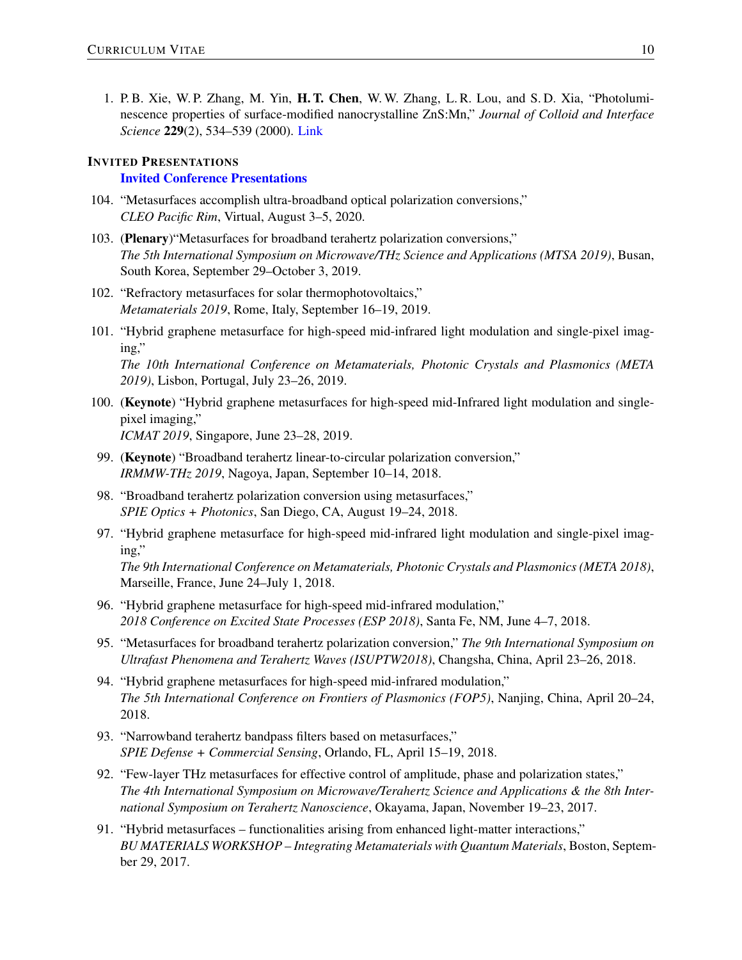1. P. B. Xie, W. P. Zhang, M. Yin, H. T. Chen, W. W. Zhang, L. R. Lou, and S. D. Xia, "Photoluminescence properties of surface-modified nanocrystalline ZnS:Mn," *Journal of Colloid and Interface Science* 229(2), 534–539 (2000). [Link](https://doi.org/10.1006/jcis.2000.7009)

#### INVITED PRESENTATIONS

#### Invited Conference Presentations

- 104. "Metasurfaces accomplish ultra-broadband optical polarization conversions," *CLEO Pacific Rim*, Virtual, August 3–5, 2020.
- 103. (Plenary)"Metasurfaces for broadband terahertz polarization conversions," *The 5th International Symposium on Microwave/THz Science and Applications (MTSA 2019)*, Busan, South Korea, September 29–October 3, 2019.
- 102. "Refractory metasurfaces for solar thermophotovoltaics," *Metamaterials 2019*, Rome, Italy, September 16–19, 2019.
- 101. "Hybrid graphene metasurface for high-speed mid-infrared light modulation and single-pixel imaging,"

*The 10th International Conference on Metamaterials, Photonic Crystals and Plasmonics (META 2019)*, Lisbon, Portugal, July 23–26, 2019.

- 100. (Keynote) "Hybrid graphene metasurfaces for high-speed mid-Infrared light modulation and singlepixel imaging," *ICMAT 2019*, Singapore, June 23–28, 2019.
- 99. (Keynote) "Broadband terahertz linear-to-circular polarization conversion," *IRMMW-THz 2019*, Nagoya, Japan, September 10–14, 2018.
- 98. "Broadband terahertz polarization conversion using metasurfaces," *SPIE Optics + Photonics*, San Diego, CA, August 19–24, 2018.
- 97. "Hybrid graphene metasurface for high-speed mid-infrared light modulation and single-pixel imaging,"

*The 9th International Conference on Metamaterials, Photonic Crystals and Plasmonics (META 2018)*, Marseille, France, June 24–July 1, 2018.

- 96. "Hybrid graphene metasurface for high-speed mid-infrared modulation," *2018 Conference on Excited State Processes (ESP 2018)*, Santa Fe, NM, June 4–7, 2018.
- 95. "Metasurfaces for broadband terahertz polarization conversion," *The 9th International Symposium on Ultrafast Phenomena and Terahertz Waves (ISUPTW2018)*, Changsha, China, April 23–26, 2018.
- 94. "Hybrid graphene metasurfaces for high-speed mid-infrared modulation," *The 5th International Conference on Frontiers of Plasmonics (FOP5)*, Nanjing, China, April 20–24, 2018.
- 93. "Narrowband terahertz bandpass filters based on metasurfaces," *SPIE Defense + Commercial Sensing*, Orlando, FL, April 15–19, 2018.
- 92. "Few-layer THz metasurfaces for effective control of amplitude, phase and polarization states," *The 4th International Symposium on Microwave/Terahertz Science and Applications & the 8th International Symposium on Terahertz Nanoscience*, Okayama, Japan, November 19–23, 2017.
- 91. "Hybrid metasurfaces functionalities arising from enhanced light-matter interactions," *BU MATERIALS WORKSHOP – Integrating Metamaterials with Quantum Materials*, Boston, September 29, 2017.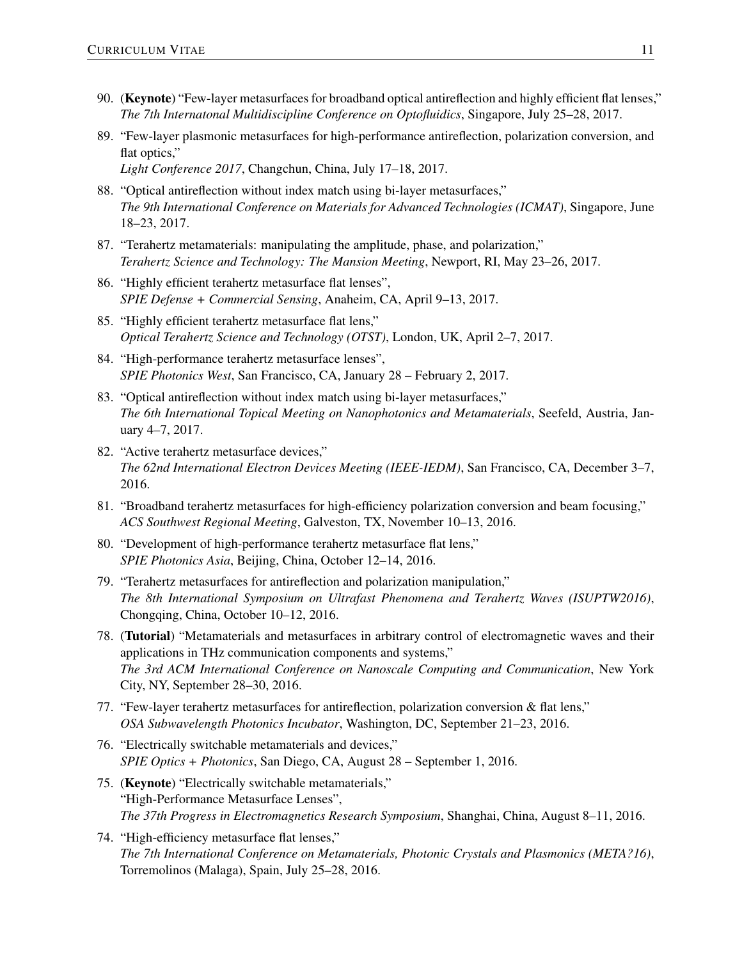- 90. (Keynote) "Few-layer metasurfaces for broadband optical antireflection and highly efficient flat lenses," *The 7th Internatonal Multidiscipline Conference on Optofluidics*, Singapore, July 25–28, 2017.
- 89. "Few-layer plasmonic metasurfaces for high-performance antireflection, polarization conversion, and flat optics," *Light Conference 2017*, Changchun, China, July 17–18, 2017.
- 88. "Optical antireflection without index match using bi-layer metasurfaces," *The 9th International Conference on Materials for Advanced Technologies (ICMAT)*, Singapore, June 18–23, 2017.
- 87. "Terahertz metamaterials: manipulating the amplitude, phase, and polarization," *Terahertz Science and Technology: The Mansion Meeting*, Newport, RI, May 23–26, 2017.
- 86. "Highly efficient terahertz metasurface flat lenses", *SPIE Defense + Commercial Sensing*, Anaheim, CA, April 9–13, 2017.
- 85. "Highly efficient terahertz metasurface flat lens," *Optical Terahertz Science and Technology (OTST)*, London, UK, April 2–7, 2017.
- 84. "High-performance terahertz metasurface lenses", *SPIE Photonics West*, San Francisco, CA, January 28 – February 2, 2017.
- 83. "Optical antireflection without index match using bi-layer metasurfaces," *The 6th International Topical Meeting on Nanophotonics and Metamaterials*, Seefeld, Austria, January 4–7, 2017.
- 82. "Active terahertz metasurface devices," *The 62nd International Electron Devices Meeting (IEEE-IEDM)*, San Francisco, CA, December 3–7, 2016.
- 81. "Broadband terahertz metasurfaces for high-efficiency polarization conversion and beam focusing," *ACS Southwest Regional Meeting*, Galveston, TX, November 10–13, 2016.
- 80. "Development of high-performance terahertz metasurface flat lens," *SPIE Photonics Asia*, Beijing, China, October 12–14, 2016.
- 79. "Terahertz metasurfaces for antireflection and polarization manipulation," *The 8th International Symposium on Ultrafast Phenomena and Terahertz Waves (ISUPTW2016)*, Chongqing, China, October 10–12, 2016.
- 78. (Tutorial) "Metamaterials and metasurfaces in arbitrary control of electromagnetic waves and their applications in THz communication components and systems," *The 3rd ACM International Conference on Nanoscale Computing and Communication*, New York City, NY, September 28–30, 2016.
- 77. "Few-layer terahertz metasurfaces for antireflection, polarization conversion & flat lens," *OSA Subwavelength Photonics Incubator*, Washington, DC, September 21–23, 2016.
- 76. "Electrically switchable metamaterials and devices," *SPIE Optics + Photonics*, San Diego, CA, August 28 – September 1, 2016.
- 75. (Keynote) "Electrically switchable metamaterials," "High-Performance Metasurface Lenses", *The 37th Progress in Electromagnetics Research Symposium*, Shanghai, China, August 8–11, 2016.
- 74. "High-efficiency metasurface flat lenses," *The 7th International Conference on Metamaterials, Photonic Crystals and Plasmonics (META?16)*, Torremolinos (Malaga), Spain, July 25–28, 2016.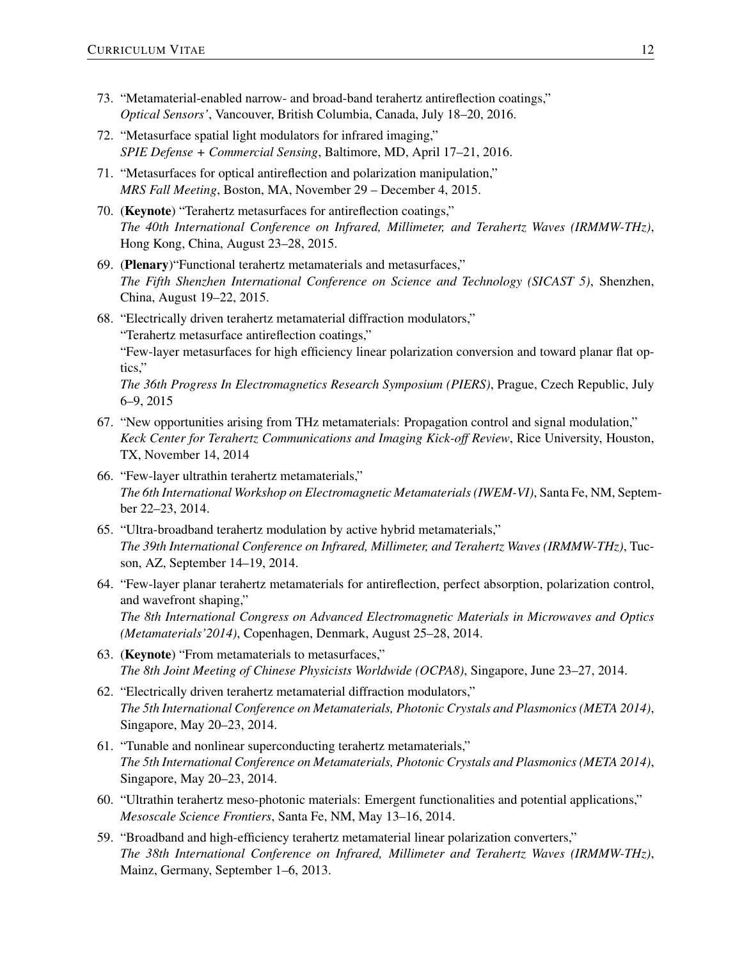- 73. "Metamaterial-enabled narrow- and broad-band terahertz antireflection coatings," *Optical Sensors'*, Vancouver, British Columbia, Canada, July 18–20, 2016.
- 72. "Metasurface spatial light modulators for infrared imaging," *SPIE Defense + Commercial Sensing*, Baltimore, MD, April 17–21, 2016.
- 71. "Metasurfaces for optical antireflection and polarization manipulation," *MRS Fall Meeting*, Boston, MA, November 29 – December 4, 2015.
- 70. (Keynote) "Terahertz metasurfaces for antireflection coatings," *The 40th International Conference on Infrared, Millimeter, and Terahertz Waves (IRMMW-THz)*, Hong Kong, China, August 23–28, 2015.
- 69. (Plenary)"Functional terahertz metamaterials and metasurfaces," *The Fifth Shenzhen International Conference on Science and Technology (SICAST 5)*, Shenzhen, China, August 19–22, 2015.
- 68. "Electrically driven terahertz metamaterial diffraction modulators," "Terahertz metasurface antireflection coatings," "Few-layer metasurfaces for high efficiency linear polarization conversion and toward planar flat optics," *The 36th Progress In Electromagnetics Research Symposium (PIERS)*, Prague, Czech Republic, July 6–9, 2015
- 67. "New opportunities arising from THz metamaterials: Propagation control and signal modulation," *Keck Center for Terahertz Communications and Imaging Kick-off Review*, Rice University, Houston, TX, November 14, 2014
- 66. "Few-layer ultrathin terahertz metamaterials," *The 6th International Workshop on Electromagnetic Metamaterials (IWEM-VI)*, Santa Fe, NM, September 22–23, 2014.
- 65. "Ultra-broadband terahertz modulation by active hybrid metamaterials," *The 39th International Conference on Infrared, Millimeter, and Terahertz Waves (IRMMW-THz)*, Tucson, AZ, September 14–19, 2014.
- 64. "Few-layer planar terahertz metamaterials for antireflection, perfect absorption, polarization control, and wavefront shaping," *The 8th International Congress on Advanced Electromagnetic Materials in Microwaves and Optics (Metamaterials'2014)*, Copenhagen, Denmark, August 25–28, 2014.
- 63. (Keynote) "From metamaterials to metasurfaces," *The 8th Joint Meeting of Chinese Physicists Worldwide (OCPA8)*, Singapore, June 23–27, 2014.
- 62. "Electrically driven terahertz metamaterial diffraction modulators," *The 5th International Conference on Metamaterials, Photonic Crystals and Plasmonics (META 2014)*, Singapore, May 20–23, 2014.
- 61. "Tunable and nonlinear superconducting terahertz metamaterials," *The 5th International Conference on Metamaterials, Photonic Crystals and Plasmonics (META 2014)*, Singapore, May 20–23, 2014.
- 60. "Ultrathin terahertz meso-photonic materials: Emergent functionalities and potential applications," *Mesoscale Science Frontiers*, Santa Fe, NM, May 13–16, 2014.
- 59. "Broadband and high-efficiency terahertz metamaterial linear polarization converters," *The 38th International Conference on Infrared, Millimeter and Terahertz Waves (IRMMW-THz)*, Mainz, Germany, September 1–6, 2013.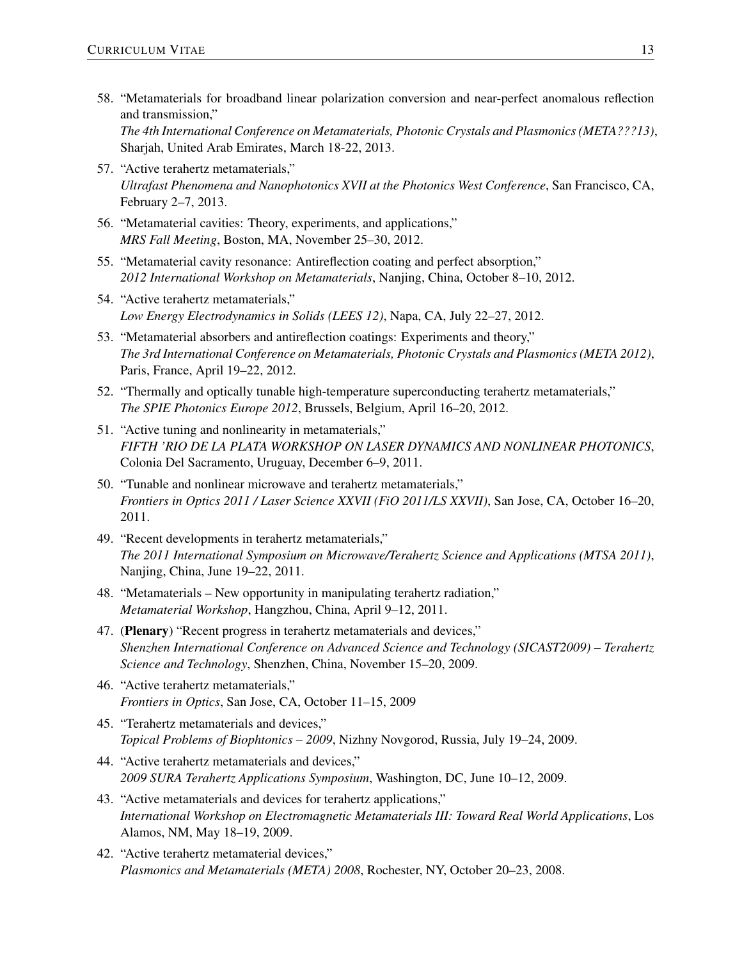- 58. "Metamaterials for broadband linear polarization conversion and near-perfect anomalous reflection and transmission," *The 4th International Conference on Metamaterials, Photonic Crystals and Plasmonics (META???13)*, Sharjah, United Arab Emirates, March 18-22, 2013.
- 57. "Active terahertz metamaterials," *Ultrafast Phenomena and Nanophotonics XVII at the Photonics West Conference*, San Francisco, CA, February 2–7, 2013.
- 56. "Metamaterial cavities: Theory, experiments, and applications," *MRS Fall Meeting*, Boston, MA, November 25–30, 2012.
- 55. "Metamaterial cavity resonance: Antireflection coating and perfect absorption," *2012 International Workshop on Metamaterials*, Nanjing, China, October 8–10, 2012.
- 54. "Active terahertz metamaterials," *Low Energy Electrodynamics in Solids (LEES 12)*, Napa, CA, July 22–27, 2012.
- 53. "Metamaterial absorbers and antireflection coatings: Experiments and theory," *The 3rd International Conference on Metamaterials, Photonic Crystals and Plasmonics (META 2012)*, Paris, France, April 19–22, 2012.
- 52. "Thermally and optically tunable high-temperature superconducting terahertz metamaterials," *The SPIE Photonics Europe 2012*, Brussels, Belgium, April 16–20, 2012.
- 51. "Active tuning and nonlinearity in metamaterials," *FIFTH 'RIO DE LA PLATA WORKSHOP ON LASER DYNAMICS AND NONLINEAR PHOTONICS*, Colonia Del Sacramento, Uruguay, December 6–9, 2011.
- 50. "Tunable and nonlinear microwave and terahertz metamaterials," *Frontiers in Optics 2011 / Laser Science XXVII (FiO 2011/LS XXVII)*, San Jose, CA, October 16–20, 2011.
- 49. "Recent developments in terahertz metamaterials," *The 2011 International Symposium on Microwave/Terahertz Science and Applications (MTSA 2011)*, Nanjing, China, June 19–22, 2011.
- 48. "Metamaterials New opportunity in manipulating terahertz radiation," *Metamaterial Workshop*, Hangzhou, China, April 9–12, 2011.
- 47. (Plenary) "Recent progress in terahertz metamaterials and devices," *Shenzhen International Conference on Advanced Science and Technology (SICAST2009) – Terahertz Science and Technology*, Shenzhen, China, November 15–20, 2009.
- 46. "Active terahertz metamaterials," *Frontiers in Optics*, San Jose, CA, October 11–15, 2009
- 45. "Terahertz metamaterials and devices," *Topical Problems of Biophtonics – 2009*, Nizhny Novgorod, Russia, July 19–24, 2009.
- 44. "Active terahertz metamaterials and devices," *2009 SURA Terahertz Applications Symposium*, Washington, DC, June 10–12, 2009.
- 43. "Active metamaterials and devices for terahertz applications," *International Workshop on Electromagnetic Metamaterials III: Toward Real World Applications*, Los Alamos, NM, May 18–19, 2009.
- 42. "Active terahertz metamaterial devices," *Plasmonics and Metamaterials (META) 2008*, Rochester, NY, October 20–23, 2008.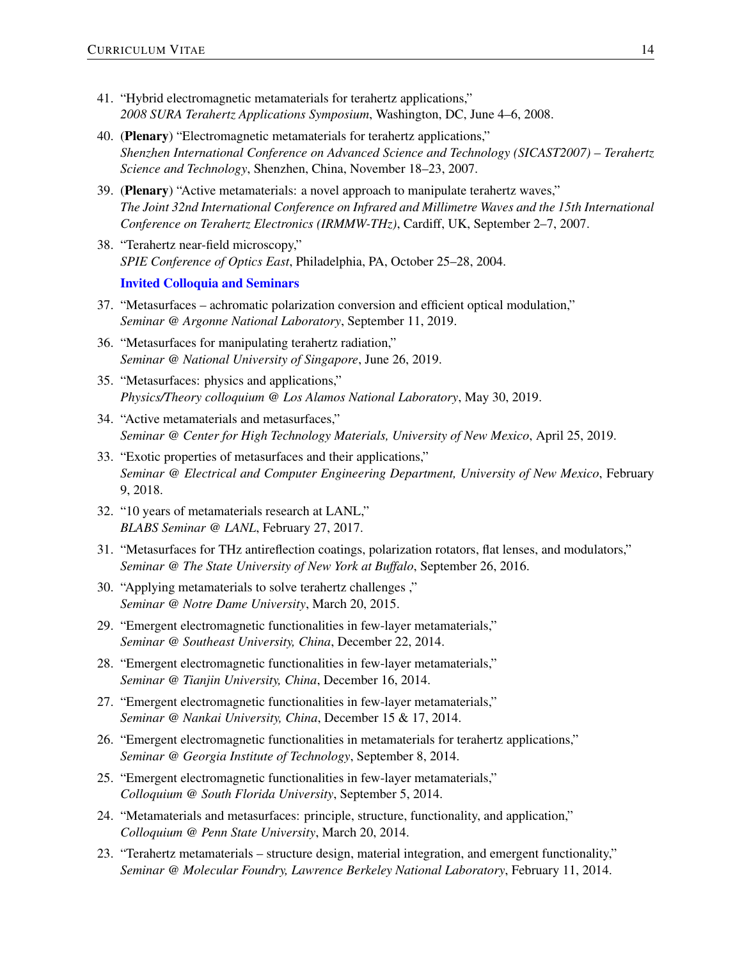- 41. "Hybrid electromagnetic metamaterials for terahertz applications," *2008 SURA Terahertz Applications Symposium*, Washington, DC, June 4–6, 2008.
- 40. (Plenary) "Electromagnetic metamaterials for terahertz applications," *Shenzhen International Conference on Advanced Science and Technology (SICAST2007) – Terahertz Science and Technology*, Shenzhen, China, November 18–23, 2007.
- 39. (Plenary) "Active metamaterials: a novel approach to manipulate terahertz waves," *The Joint 32nd International Conference on Infrared and Millimetre Waves and the 15th International Conference on Terahertz Electronics (IRMMW-THz)*, Cardiff, UK, September 2–7, 2007.
- 38. "Terahertz near-field microscopy," *SPIE Conference of Optics East*, Philadelphia, PA, October 25–28, 2004.

### Invited Colloquia and Seminars

- 37. "Metasurfaces achromatic polarization conversion and efficient optical modulation," *Seminar @ Argonne National Laboratory*, September 11, 2019.
- 36. "Metasurfaces for manipulating terahertz radiation," *Seminar @ National University of Singapore*, June 26, 2019.
- 35. "Metasurfaces: physics and applications," *Physics/Theory colloquium @ Los Alamos National Laboratory*, May 30, 2019.
- 34. "Active metamaterials and metasurfaces," *Seminar @ Center for High Technology Materials, University of New Mexico*, April 25, 2019.
- 33. "Exotic properties of metasurfaces and their applications," *Seminar @ Electrical and Computer Engineering Department, University of New Mexico*, February 9, 2018.
- 32. "10 years of metamaterials research at LANL," *BLABS Seminar @ LANL*, February 27, 2017.
- 31. "Metasurfaces for THz antireflection coatings, polarization rotators, flat lenses, and modulators," *Seminar @ The State University of New York at Buffalo*, September 26, 2016.
- 30. "Applying metamaterials to solve terahertz challenges ," *Seminar @ Notre Dame University*, March 20, 2015.
- 29. "Emergent electromagnetic functionalities in few-layer metamaterials," *Seminar @ Southeast University, China*, December 22, 2014.
- 28. "Emergent electromagnetic functionalities in few-layer metamaterials," *Seminar @ Tianjin University, China*, December 16, 2014.
- 27. "Emergent electromagnetic functionalities in few-layer metamaterials," *Seminar @ Nankai University, China*, December 15 & 17, 2014.
- 26. "Emergent electromagnetic functionalities in metamaterials for terahertz applications," *Seminar @ Georgia Institute of Technology*, September 8, 2014.
- 25. "Emergent electromagnetic functionalities in few-layer metamaterials," *Colloquium @ South Florida University*, September 5, 2014.
- 24. "Metamaterials and metasurfaces: principle, structure, functionality, and application," *Colloquium @ Penn State University*, March 20, 2014.
- 23. "Terahertz metamaterials structure design, material integration, and emergent functionality," *Seminar @ Molecular Foundry, Lawrence Berkeley National Laboratory*, February 11, 2014.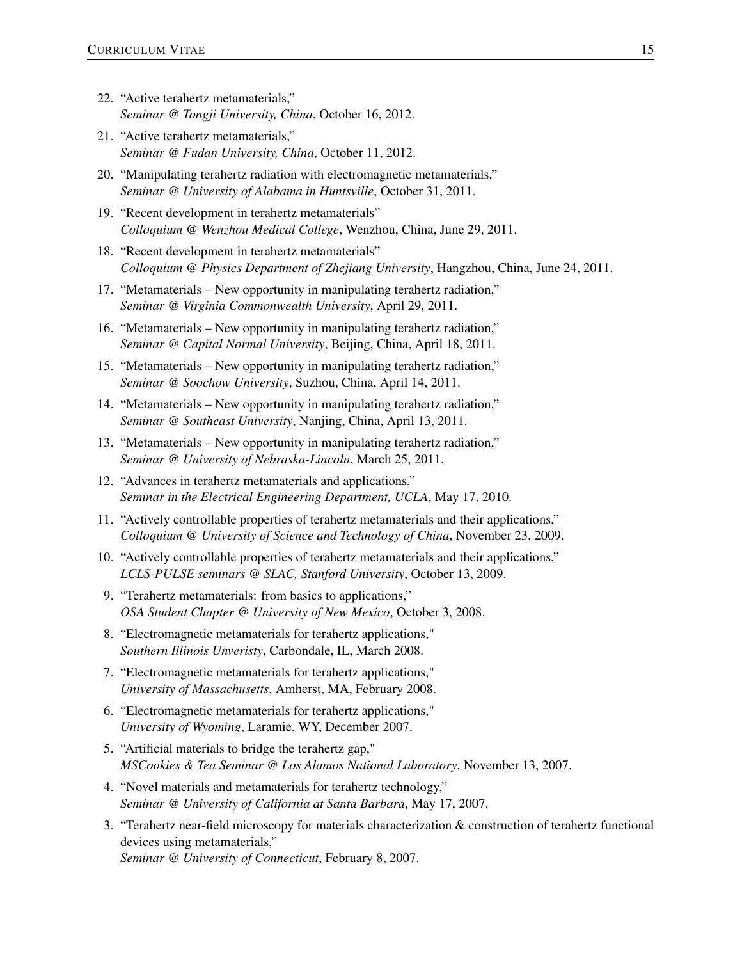- 22. "Active terahertz metamaterials," *Seminar @ Tongji University, China*, October 16, 2012.
- 21. "Active terahertz metamaterials," *Seminar @ Fudan University, China*, October 11, 2012.
- 20. "Manipulating terahertz radiation with electromagnetic metamaterials," *Seminar @ University of Alabama in Huntsville*, October 31, 2011.
- 19. "Recent development in terahertz metamaterials" *Colloquium @ Wenzhou Medical College*, Wenzhou, China, June 29, 2011.
- 18. "Recent development in terahertz metamaterials" *Colloquium @ Physics Department of Zhejiang University*, Hangzhou, China, June 24, 2011.
- 17. "Metamaterials New opportunity in manipulating terahertz radiation," *Seminar @ Virginia Commonwealth University*, April 29, 2011.
- 16. "Metamaterials New opportunity in manipulating terahertz radiation," *Seminar @ Capital Normal University*, Beijing, China, April 18, 2011.
- 15. "Metamaterials New opportunity in manipulating terahertz radiation," *Seminar @ Soochow University*, Suzhou, China, April 14, 2011.
- 14. "Metamaterials New opportunity in manipulating terahertz radiation," *Seminar @ Southeast University*, Nanjing, China, April 13, 2011.
- 13. "Metamaterials New opportunity in manipulating terahertz radiation," *Seminar @ University of Nebraska-Lincoln*, March 25, 2011.
- 12. "Advances in terahertz metamaterials and applications," *Seminar in the Electrical Engineering Department, UCLA*, May 17, 2010.
- 11. "Actively controllable properties of terahertz metamaterials and their applications," *Colloquium @ University of Science and Technology of China*, November 23, 2009.
- 10. "Actively controllable properties of terahertz metamaterials and their applications," *LCLS-PULSE seminars @ SLAC, Stanford University*, October 13, 2009.
- 9. "Terahertz metamaterials: from basics to applications," *OSA Student Chapter @ University of New Mexico*, October 3, 2008.
- 8. "Electromagnetic metamaterials for terahertz applications," *Southern Illinois Unveristy*, Carbondale, IL, March 2008.
- 7. "Electromagnetic metamaterials for terahertz applications," *University of Massachusetts*, Amherst, MA, February 2008.
- 6. "Electromagnetic metamaterials for terahertz applications," *University of Wyoming*, Laramie, WY, December 2007.
- 5. "Artificial materials to bridge the terahertz gap," *MSCookies & Tea Seminar @ Los Alamos National Laboratory*, November 13, 2007.
- 4. "Novel materials and metamaterials for terahertz technology," *Seminar @ University of California at Santa Barbara*, May 17, 2007.
- 3. "Terahertz near-field microscopy for materials characterization & construction of terahertz functional devices using metamaterials," *Seminar @ University of Connecticut*, February 8, 2007.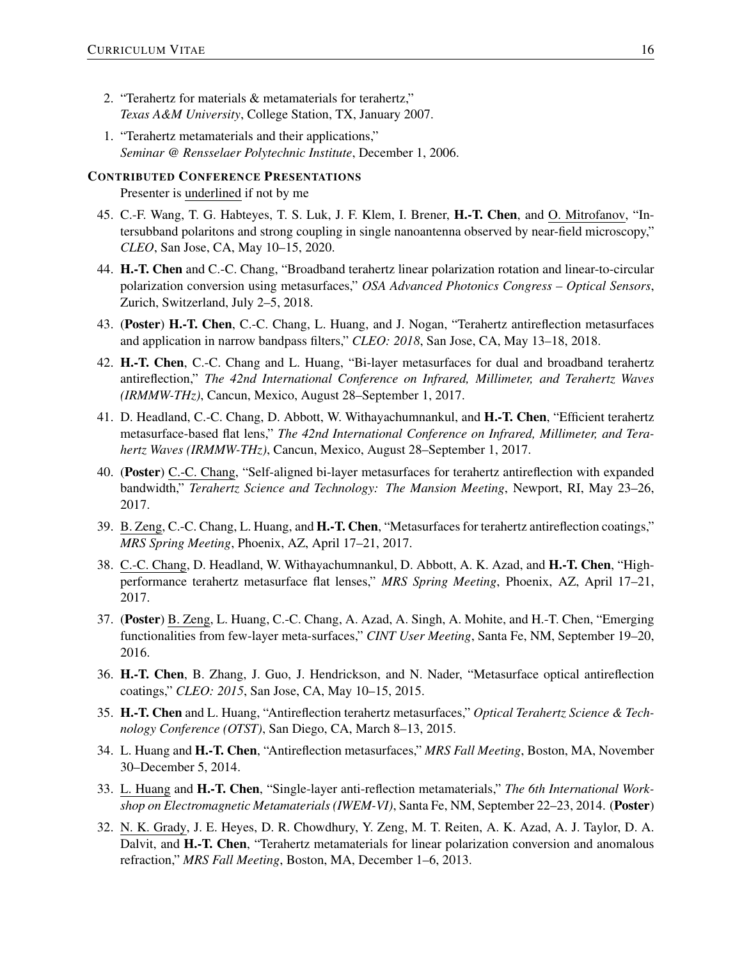- 2. "Terahertz for materials & metamaterials for terahertz," *Texas A&M University*, College Station, TX, January 2007.
- 1. "Terahertz metamaterials and their applications," *Seminar @ Rensselaer Polytechnic Institute*, December 1, 2006.

# CONTRIBUTED CONFERENCE PRESENTATIONS

Presenter is underlined if not by me

- 45. C.-F. Wang, T. G. Habteyes, T. S. Luk, J. F. Klem, I. Brener, H.-T. Chen, and O. Mitrofanov, "Intersubband polaritons and strong coupling in single nanoantenna observed by near-field microscopy," *CLEO*, San Jose, CA, May 10–15, 2020.
- 44. H.-T. Chen and C.-C. Chang, "Broadband terahertz linear polarization rotation and linear-to-circular polarization conversion using metasurfaces," *OSA Advanced Photonics Congress – Optical Sensors*, Zurich, Switzerland, July 2–5, 2018.
- 43. (Poster) H.-T. Chen, C.-C. Chang, L. Huang, and J. Nogan, "Terahertz antireflection metasurfaces and application in narrow bandpass filters," *CLEO: 2018*, San Jose, CA, May 13–18, 2018.
- 42. H.-T. Chen, C.-C. Chang and L. Huang, "Bi-layer metasurfaces for dual and broadband terahertz antireflection," *The 42nd International Conference on Infrared, Millimeter, and Terahertz Waves (IRMMW-THz)*, Cancun, Mexico, August 28–September 1, 2017.
- 41. D. Headland, C.-C. Chang, D. Abbott, W. Withayachumnankul, and H.-T. Chen, "Efficient terahertz metasurface-based flat lens," *The 42nd International Conference on Infrared, Millimeter, and Terahertz Waves (IRMMW-THz)*, Cancun, Mexico, August 28–September 1, 2017.
- 40. (Poster) C.-C. Chang, "Self-aligned bi-layer metasurfaces for terahertz antireflection with expanded bandwidth," *Terahertz Science and Technology: The Mansion Meeting*, Newport, RI, May 23–26, 2017.
- 39. B. Zeng, C.-C. Chang, L. Huang, and H.-T. Chen, "Metasurfaces for terahertz antireflection coatings," *MRS Spring Meeting*, Phoenix, AZ, April 17–21, 2017.
- 38. C.-C. Chang, D. Headland, W. Withayachumnankul, D. Abbott, A. K. Azad, and H.-T. Chen, "Highperformance terahertz metasurface flat lenses," *MRS Spring Meeting*, Phoenix, AZ, April 17–21, 2017.
- 37. (Poster) B. Zeng, L. Huang, C.-C. Chang, A. Azad, A. Singh, A. Mohite, and H.-T. Chen, "Emerging functionalities from few-layer meta-surfaces," *CINT User Meeting*, Santa Fe, NM, September 19–20, 2016.
- 36. H.-T. Chen, B. Zhang, J. Guo, J. Hendrickson, and N. Nader, "Metasurface optical antireflection coatings," *CLEO: 2015*, San Jose, CA, May 10–15, 2015.
- 35. H.-T. Chen and L. Huang, "Antireflection terahertz metasurfaces," *Optical Terahertz Science & Technology Conference (OTST)*, San Diego, CA, March 8–13, 2015.
- 34. L. Huang and H.-T. Chen, "Antireflection metasurfaces," *MRS Fall Meeting*, Boston, MA, November 30–December 5, 2014.
- 33. L. Huang and H.-T. Chen, "Single-layer anti-reflection metamaterials," *The 6th International Workshop on Electromagnetic Metamaterials (IWEM-VI)*, Santa Fe, NM, September 22–23, 2014. (Poster)
- 32. N. K. Grady, J. E. Heyes, D. R. Chowdhury, Y. Zeng, M. T. Reiten, A. K. Azad, A. J. Taylor, D. A. Dalvit, and H.-T. Chen, "Terahertz metamaterials for linear polarization conversion and anomalous refraction," *MRS Fall Meeting*, Boston, MA, December 1–6, 2013.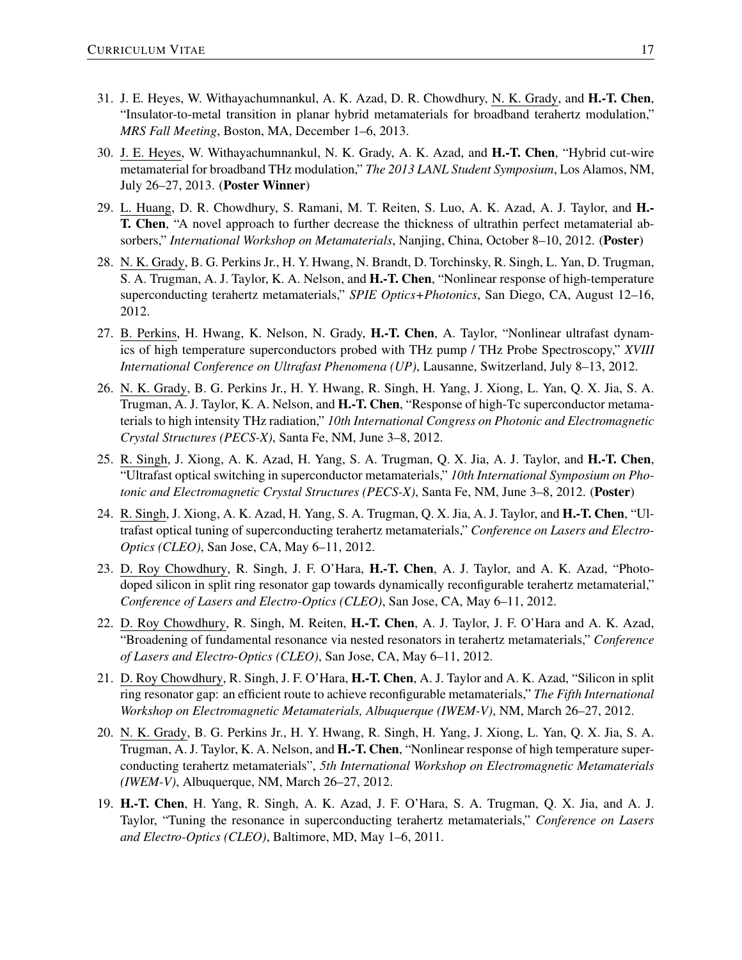- 31. J. E. Heyes, W. Withayachumnankul, A. K. Azad, D. R. Chowdhury, N. K. Grady, and H.-T. Chen, "Insulator-to-metal transition in planar hybrid metamaterials for broadband terahertz modulation," *MRS Fall Meeting*, Boston, MA, December 1–6, 2013.
- 30. J. E. Heyes, W. Withayachumnankul, N. K. Grady, A. K. Azad, and H.-T. Chen, "Hybrid cut-wire metamaterial for broadband THz modulation," *The 2013 LANL Student Symposium*, Los Alamos, NM, July 26–27, 2013. (Poster Winner)
- 29. L. Huang, D. R. Chowdhury, S. Ramani, M. T. Reiten, S. Luo, A. K. Azad, A. J. Taylor, and H.- T. Chen, "A novel approach to further decrease the thickness of ultrathin perfect metamaterial absorbers," *International Workshop on Metamaterials*, Nanjing, China, October 8–10, 2012. (Poster)
- 28. N. K. Grady, B. G. Perkins Jr., H. Y. Hwang, N. Brandt, D. Torchinsky, R. Singh, L. Yan, D. Trugman, S. A. Trugman, A. J. Taylor, K. A. Nelson, and H.-T. Chen, "Nonlinear response of high-temperature superconducting terahertz metamaterials," *SPIE Optics+Photonics*, San Diego, CA, August 12–16, 2012.
- 27. B. Perkins, H. Hwang, K. Nelson, N. Grady, H.-T. Chen, A. Taylor, "Nonlinear ultrafast dynamics of high temperature superconductors probed with THz pump / THz Probe Spectroscopy," *XVIII International Conference on Ultrafast Phenomena (UP)*, Lausanne, Switzerland, July 8–13, 2012.
- 26. N. K. Grady, B. G. Perkins Jr., H. Y. Hwang, R. Singh, H. Yang, J. Xiong, L. Yan, Q. X. Jia, S. A. Trugman, A. J. Taylor, K. A. Nelson, and H.-T. Chen, "Response of high-Tc superconductor metamaterials to high intensity THz radiation," *10th International Congress on Photonic and Electromagnetic Crystal Structures (PECS-X)*, Santa Fe, NM, June 3–8, 2012.
- 25. R. Singh, J. Xiong, A. K. Azad, H. Yang, S. A. Trugman, Q. X. Jia, A. J. Taylor, and H.-T. Chen, "Ultrafast optical switching in superconductor metamaterials," *10th International Symposium on Photonic and Electromagnetic Crystal Structures (PECS-X)*, Santa Fe, NM, June 3–8, 2012. (Poster)
- 24. R. Singh, J. Xiong, A. K. Azad, H. Yang, S. A. Trugman, Q. X. Jia, A. J. Taylor, and H.-T. Chen, "Ultrafast optical tuning of superconducting terahertz metamaterials," *Conference on Lasers and Electro-Optics (CLEO)*, San Jose, CA, May 6–11, 2012.
- 23. D. Roy Chowdhury, R. Singh, J. F. O'Hara, H.-T. Chen, A. J. Taylor, and A. K. Azad, "Photodoped silicon in split ring resonator gap towards dynamically reconfigurable terahertz metamaterial," *Conference of Lasers and Electro-Optics (CLEO)*, San Jose, CA, May 6–11, 2012.
- 22. D. Roy Chowdhury, R. Singh, M. Reiten, H.-T. Chen, A. J. Taylor, J. F. O'Hara and A. K. Azad, "Broadening of fundamental resonance via nested resonators in terahertz metamaterials," *Conference of Lasers and Electro-Optics (CLEO)*, San Jose, CA, May 6–11, 2012.
- 21. D. Roy Chowdhury, R. Singh, J. F. O'Hara, H.-T. Chen, A. J. Taylor and A. K. Azad, "Silicon in split ring resonator gap: an efficient route to achieve reconfigurable metamaterials," *The Fifth International Workshop on Electromagnetic Metamaterials, Albuquerque (IWEM-V)*, NM, March 26–27, 2012.
- 20. N. K. Grady, B. G. Perkins Jr., H. Y. Hwang, R. Singh, H. Yang, J. Xiong, L. Yan, Q. X. Jia, S. A. Trugman, A. J. Taylor, K. A. Nelson, and **H.-T. Chen**, "Nonlinear response of high temperature superconducting terahertz metamaterials", *5th International Workshop on Electromagnetic Metamaterials (IWEM-V)*, Albuquerque, NM, March 26–27, 2012.
- 19. H.-T. Chen, H. Yang, R. Singh, A. K. Azad, J. F. O'Hara, S. A. Trugman, Q. X. Jia, and A. J. Taylor, "Tuning the resonance in superconducting terahertz metamaterials," *Conference on Lasers and Electro-Optics (CLEO)*, Baltimore, MD, May 1–6, 2011.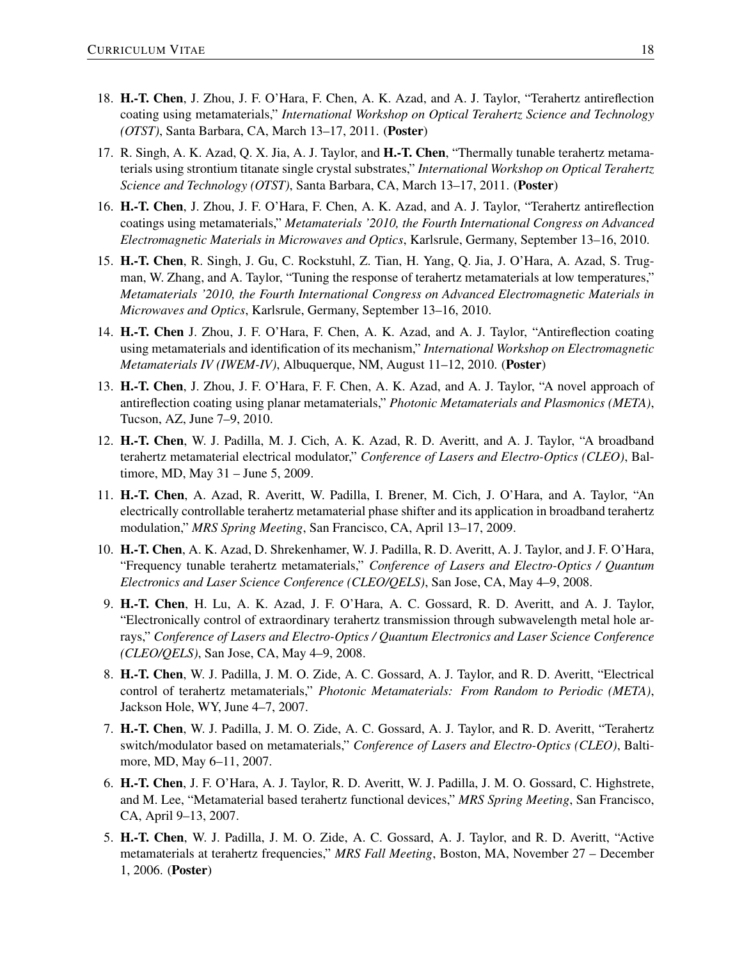- 18. H.-T. Chen, J. Zhou, J. F. O'Hara, F. Chen, A. K. Azad, and A. J. Taylor, "Terahertz antireflection coating using metamaterials," *International Workshop on Optical Terahertz Science and Technology (OTST)*, Santa Barbara, CA, March 13–17, 2011. (Poster)
- 17. R. Singh, A. K. Azad, Q. X. Jia, A. J. Taylor, and H.-T. Chen, "Thermally tunable terahertz metamaterials using strontium titanate single crystal substrates," *International Workshop on Optical Terahertz Science and Technology (OTST)*, Santa Barbara, CA, March 13–17, 2011. (Poster)
- 16. H.-T. Chen, J. Zhou, J. F. O'Hara, F. Chen, A. K. Azad, and A. J. Taylor, "Terahertz antireflection coatings using metamaterials," *Metamaterials '2010, the Fourth International Congress on Advanced Electromagnetic Materials in Microwaves and Optics*, Karlsrule, Germany, September 13–16, 2010.
- 15. H.-T. Chen, R. Singh, J. Gu, C. Rockstuhl, Z. Tian, H. Yang, Q. Jia, J. O'Hara, A. Azad, S. Trugman, W. Zhang, and A. Taylor, "Tuning the response of terahertz metamaterials at low temperatures," *Metamaterials '2010, the Fourth International Congress on Advanced Electromagnetic Materials in Microwaves and Optics*, Karlsrule, Germany, September 13–16, 2010.
- 14. H.-T. Chen J. Zhou, J. F. O'Hara, F. Chen, A. K. Azad, and A. J. Taylor, "Antireflection coating using metamaterials and identification of its mechanism," *International Workshop on Electromagnetic Metamaterials IV (IWEM-IV)*, Albuquerque, NM, August 11–12, 2010. (Poster)
- 13. H.-T. Chen, J. Zhou, J. F. O'Hara, F. F. Chen, A. K. Azad, and A. J. Taylor, "A novel approach of antireflection coating using planar metamaterials," *Photonic Metamaterials and Plasmonics (META)*, Tucson, AZ, June 7–9, 2010.
- 12. H.-T. Chen, W. J. Padilla, M. J. Cich, A. K. Azad, R. D. Averitt, and A. J. Taylor, "A broadband terahertz metamaterial electrical modulator," *Conference of Lasers and Electro-Optics (CLEO)*, Baltimore, MD, May 31 – June 5, 2009.
- 11. H.-T. Chen, A. Azad, R. Averitt, W. Padilla, I. Brener, M. Cich, J. O'Hara, and A. Taylor, "An electrically controllable terahertz metamaterial phase shifter and its application in broadband terahertz modulation," *MRS Spring Meeting*, San Francisco, CA, April 13–17, 2009.
- 10. H.-T. Chen, A. K. Azad, D. Shrekenhamer, W. J. Padilla, R. D. Averitt, A. J. Taylor, and J. F. O'Hara, "Frequency tunable terahertz metamaterials," *Conference of Lasers and Electro-Optics / Quantum Electronics and Laser Science Conference (CLEO/QELS)*, San Jose, CA, May 4–9, 2008.
- 9. H.-T. Chen, H. Lu, A. K. Azad, J. F. O'Hara, A. C. Gossard, R. D. Averitt, and A. J. Taylor, "Electronically control of extraordinary terahertz transmission through subwavelength metal hole arrays," *Conference of Lasers and Electro-Optics / Quantum Electronics and Laser Science Conference (CLEO/QELS)*, San Jose, CA, May 4–9, 2008.
- 8. H.-T. Chen, W. J. Padilla, J. M. O. Zide, A. C. Gossard, A. J. Taylor, and R. D. Averitt, "Electrical control of terahertz metamaterials," *Photonic Metamaterials: From Random to Periodic (META)*, Jackson Hole, WY, June 4–7, 2007.
- 7. H.-T. Chen, W. J. Padilla, J. M. O. Zide, A. C. Gossard, A. J. Taylor, and R. D. Averitt, "Terahertz switch/modulator based on metamaterials," *Conference of Lasers and Electro-Optics (CLEO)*, Baltimore, MD, May 6–11, 2007.
- 6. H.-T. Chen, J. F. O'Hara, A. J. Taylor, R. D. Averitt, W. J. Padilla, J. M. O. Gossard, C. Highstrete, and M. Lee, "Metamaterial based terahertz functional devices," *MRS Spring Meeting*, San Francisco, CA, April 9–13, 2007.
- 5. H.-T. Chen, W. J. Padilla, J. M. O. Zide, A. C. Gossard, A. J. Taylor, and R. D. Averitt, "Active metamaterials at terahertz frequencies," *MRS Fall Meeting*, Boston, MA, November 27 – December 1, 2006. (Poster)